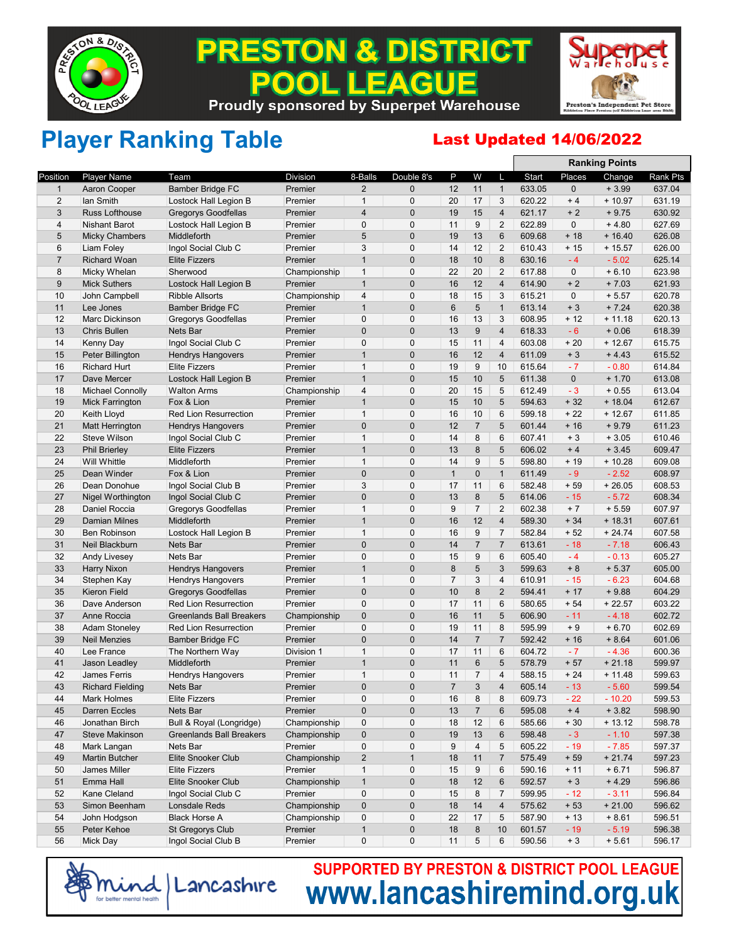

### **& DISTRICT** PREST ON EACUE  $\bullet$ **Proudly sponsored by Superpet Warehouse**



## Player Ranking Table **Last Updated 14/06/2022**

|                |                          |                                 |                 |                |                |                |                |                         | <b>Ranking Points</b> |             |           |          |  |
|----------------|--------------------------|---------------------------------|-----------------|----------------|----------------|----------------|----------------|-------------------------|-----------------------|-------------|-----------|----------|--|
| Position       | <b>Player Name</b>       | Team                            | <b>Division</b> | 8-Balls        | Double 8's     | P              | W              | L                       | Start                 | Places      | Change    | Rank Pts |  |
| $\mathbf{1}$   | Aaron Cooper             | <b>Bamber Bridge FC</b>         | Premier         | $\overline{2}$ | $\mathbf{0}$   | 12             | 11             | $\mathbf{1}$            | 633.05                | $\mathbf 0$ | $+3.99$   | 637.04   |  |
| 2              | lan Smith                | Lostock Hall Legion B           | Premier         | $\mathbf{1}$   | 0              | 20             | 17             | 3                       | 620.22                | $+4$        | $+10.97$  | 631.19   |  |
| 3              | Russ Lofthouse           | <b>Gregorys Goodfellas</b>      | Premier         | $\overline{4}$ | 0              | 19             | 15             | 4                       | 621.17                | $+2$        | $+9.75$   | 630.92   |  |
| 4              | <b>Nishant Barot</b>     | Lostock Hall Legion B           | Premier         | $\mathbf 0$    | 0              | 11             | 9              | $\overline{2}$          | 622.89                | $\mathbf 0$ | $+4.80$   | 627.69   |  |
| 5              | <b>Micky Chambers</b>    | Middleforth                     | Premier         | 5              | 0              | 19             | 13             | 6                       | 609.68                | $+18$       | $+16.40$  | 626.08   |  |
| 6              | Liam Foley               | Ingol Social Club C             | Premier         | 3              | $\mathbf 0$    | 14             | 12             | $\overline{2}$          | 610.43                | $+15$       | $+15.57$  | 626.00   |  |
| $\overline{7}$ | <b>Richard Woan</b>      | <b>Elite Fizzers</b>            | Premier         | $\mathbf{1}$   | 0              | 18             | 10             | 8                       | 630.16                | $-4$        | $-5.02$   | 625.14   |  |
| 8              | Micky Whelan             | Sherwood                        | Championship    | $\mathbf{1}$   | $\mathbf 0$    | 22             | 20             | $\overline{2}$          | 617.88                | $\mathbf 0$ | $+6.10$   | 623.98   |  |
| 9              | <b>Mick Suthers</b>      | Lostock Hall Legion B           | Premier         | $\mathbf{1}$   | 0              | 16             | 12             | 4                       | 614.90                | $+2$        | $+7.03$   | 621.93   |  |
| 10             | John Campbell            | Ribble Allsorts                 | Championship    | $\overline{4}$ | 0              | 18             | 15             | 3                       | 615.21                | $\mathbf 0$ | $+5.57$   | 620.78   |  |
| 11             | Lee Jones                | <b>Bamber Bridge FC</b>         | Premier         | $\mathbf{1}$   | 0              | 6              | 5              | $\mathbf{1}$            | 613.14                | $+3$        | $+7.24$   | 620.38   |  |
| 12             | <b>Marc Dickinson</b>    | Gregorys Goodfellas             | Premier         | 0              | $\mathbf 0$    | 16             | 13             | 3                       | 608.95                | $+12$       | $+11.18$  | 620.13   |  |
| 13             | <b>Chris Bullen</b>      | Nets Bar                        | Premier         | $\mathbf 0$    | 0              | 13             | 9              | $\overline{4}$          | 618.33                | $-6$        | $+0.06$   | 618.39   |  |
| 14             | Kenny Day                | Ingol Social Club C             | Premier         | 0              | 0              | 15             | 11             | 4                       | 603.08                | $+20$       | $+12.67$  | 615.75   |  |
| 15             | Peter Billington         | <b>Hendrys Hangovers</b>        | Premier         | $\mathbf{1}$   | 0              | 16             | 12             | 4                       | 611.09                | $+3$        | $+4.43$   | 615.52   |  |
| 16             | <b>Richard Hurt</b>      | <b>Elite Fizzers</b>            | Premier         | $\mathbf{1}$   | 0              | 19             | 9              | 10                      | 615.64                | $-7$        | $-0.80$   | 614.84   |  |
| 17             | Dave Mercer              | Lostock Hall Legion B           | Premier         | $\mathbf{1}$   | $\overline{0}$ | 15             | 10             | 5                       | 611.38                | $\mathbf 0$ | $+1.70$   | 613.08   |  |
| 18             | <b>Michael Connolly</b>  | <b>Walton Arms</b>              | Championship    | $\overline{4}$ | $\mathbf 0$    | 20             | 15             | 5                       | 612.49                | $-3$        | $+0.55$   | 613.04   |  |
| 19             | <b>Mick Farrington</b>   | Fox & Lion                      | Premier         | $\mathbf{1}$   | 0              | 15             | 10             | 5                       | 594.63                | $+32$       | $+18.04$  | 612.67   |  |
| 20             | <b>Keith Lloyd</b>       | <b>Red Lion Resurrection</b>    | Premier         | $\mathbf{1}$   | 0              | 16             | 10             | 6                       | 599.18                | $+22$       | $+12.67$  | 611.85   |  |
| 21             | <b>Matt Herrington</b>   | <b>Hendrys Hangovers</b>        | Premier         | 0              | 0              | 12             | $\overline{7}$ | 5                       | 601.44                | $+16$       | $+9.79$   | 611.23   |  |
| 22             | <b>Steve Wilson</b>      | Ingol Social Club C             | Premier         | $\mathbf{1}$   | 0              | 14             | 8              | 6                       | 607.41                | $+3$        | $+3.05$   | 610.46   |  |
| 23             | <b>Phil Brierley</b>     | <b>Elite Fizzers</b>            | Premier         | $\mathbf{1}$   | $\mathbf 0$    | 13             | 8              | 5                       | 606.02                | $+4$        | $+3.45$   | 609.47   |  |
| 24             | <b>Will Whittle</b>      | Middleforth                     | Premier         | $\mathbf{1}$   | 0              | 14             | 9              | 5                       | 598.80                | $+19$       | $+10.28$  | 609.08   |  |
| 25             | Dean Winder              | Fox & Lion                      | Premier         | 0              | 0              | $\mathbf{1}$   | $\mathbf 0$    | $\mathbf{1}$            | 611.49                | $-9$        | $-2.52$   | 608.97   |  |
| 26             | Dean Donohue             | Ingol Social Club B             | Premier         | 3              | 0              | 17             | 11             | 6                       | 582.48                | $+59$       | $+26.05$  | 608.53   |  |
| 27             | <b>Nigel Worthington</b> | Ingol Social Club C             | Premier         | 0              | 0              | 13             | 8              | 5                       | 614.06                | $-15$       | $-5.72$   | 608.34   |  |
| 28             | Daniel Roccia            | Gregorys Goodfellas             | Premier         | $\mathbf{1}$   | 0              | 9              | $\overline{7}$ | $\overline{2}$          | 602.38                | $+7$        | $+5.59$   | 607.97   |  |
| 29             | <b>Damian Milnes</b>     | Middleforth                     | Premier         | $\mathbf{1}$   | $\mathbf 0$    | 16             | 12             | 4                       | 589.30                | $+34$       | $+18.31$  | 607.61   |  |
| 30             | <b>Ben Robinson</b>      | Lostock Hall Legion B           | Premier         | $\mathbf{1}$   | 0              | 16             | 9              | 7                       | 582.84                | $+52$       | $+24.74$  | 607.58   |  |
| 31             | Neil Blackburn           | Nets Bar                        | Premier         | 0              | 0              | 14             | $\overline{7}$ | $\overline{7}$          | 613.61                | $-18$       | $-7.18$   | 606.43   |  |
| 32             | <b>Andy Livesey</b>      | Nets Bar                        | Premier         | $\mathbf 0$    | $\mathbf{0}$   | 15             | 9              | 6                       | 605.40                | $-4$        | $-0.13$   | 605.27   |  |
| 33             | Harry Nixon              | <b>Hendrys Hangovers</b>        | Premier         | $\mathbf{1}$   | 0              | 8              | 5              | 3                       | 599.63                | $+8$        | $+5.37$   | 605.00   |  |
| 34             | Stephen Kay              | <b>Hendrys Hangovers</b>        | Premier         | $\mathbf{1}$   | 0              | $\overline{7}$ | 3              | $\overline{\mathbf{4}}$ | 610.91                | $-15$       | $-6.23$   | 604.68   |  |
| 35             | Kieron Field             | <b>Gregorys Goodfellas</b>      | Premier         | $\mathbf 0$    | 0              | 10             | 8              | $\overline{2}$          | 594.41                | $+17$       | $+9.88$   | 604.29   |  |
| 36             | Dave Anderson            | <b>Red Lion Resurrection</b>    | Premier         | 0              | $\mathbf 0$    | 17             | 11             | 6                       | 580.65                | $+54$       | $+22.57$  | 603.22   |  |
| 37             | Anne Roccia              | <b>Greenlands Ball Breakers</b> | Championship    | 0              | $\mathbf 0$    | 16             | 11             | 5                       | 606.90                | $-11$       | $-4.18$   | 602.72   |  |
| 38             | <b>Adam Stoneley</b>     | <b>Red Lion Resurrection</b>    | Premier         | $\mathbf 0$    | $\mathbf 0$    | 19             | 11             | 8                       | 595.99                | $+9$        | $+6.70$   | 602.69   |  |
| 39             | <b>Neil Menzies</b>      | <b>Bamber Bridge FC</b>         | Premier         | 0              | $\mathbf 0$    | 14             | $\overline{7}$ | $\overline{7}$          | 592.42                | $+16$       | $+8.64$   | 601.06   |  |
| 40             | Lee France               | The Northern Way                | Division 1      | $\mathbf{1}$   | 0              | 17             | 11             | 6                       | 604.72                | $-7$        | $-4.36$   | 600.36   |  |
| 41             | Jason Leadley            | Middleforth                     | Premier         | $\mathbf{1}$   | 0              | 11             | 6              | 5                       | 578.79                | $+57$       | $+21.18$  | 599.97   |  |
| 42             | <b>James Ferris</b>      | <b>Hendrys Hangovers</b>        | Premier         | $\mathbf{1}$   | 0              | 11             | 7              | 4                       | 588.15                | $+24$       | $+ 11.48$ | 599.63   |  |
| 43             | <b>Richard Fielding</b>  | Nets Bar                        | Premier         | 0              | $\mathbf{0}$   | $\overline{7}$ | 3              | $\overline{4}$          | 605.14                | $-13$       | $-5.60$   | 599.54   |  |
| 44             | <b>Mark Holmes</b>       | <b>Elite Fizzers</b>            | Premier         | 0              | 0              | 16             | 8              | 8                       | 609.73                | $-22$       | $-10.20$  | 599.53   |  |
| 45             | Darren Eccles            | Nets Bar                        | Premier         | $\pmb{0}$      | 0              | 13             | $\overline{7}$ | 6                       | 595.08                | $+4$        | $+3.82$   | 598.90   |  |
| 46             | Jonathan Birch           | Bull & Royal (Longridge)        | Championship    | 0              | 0              | 18             | 12             | 6                       | 585.66                | $+30$       | $+13.12$  | 598.78   |  |
| 47             | Steve Makinson           | <b>Greenlands Ball Breakers</b> | Championship    | $\pmb{0}$      | 0              | 19             | 13             | 6                       | 598.48                | $-3$        | $-1.10$   | 597.38   |  |
| 48             | Mark Langan              | Nets Bar                        | Premier         | $\pmb{0}$      | 0              | 9              | $\overline{4}$ | 5                       | 605.22                | $-19$       | $-7.85$   | 597.37   |  |
| 49             | <b>Martin Butcher</b>    | Elite Snooker Club              | Championship    | $\sqrt{2}$     | $\mathbf{1}$   | 18             | 11             | $\overline{7}$          | 575.49                | $+59$       | $+21.74$  | 597.23   |  |
| 50             | James Miller             | Elite Fizzers                   | Premier         | $\mathbf{1}$   | 0              | 15             | 9              | 6                       | 590.16                | $+11$       | $+6.71$   | 596.87   |  |
| 51             | Emma Hall                | Elite Snooker Club              | Championship    | $\mathbf{1}$   | $\mathbf 0$    | 18             | 12             | 6                       | 592.57                | $+3$        | $+4.29$   | 596.86   |  |
| 52             | Kane Cleland             | Ingol Social Club C             | Premier         | 0              | 0              | 15             | 8              | $\overline{7}$          | 599.95                | $-12$       | $-3.11$   | 596.84   |  |
| 53             | Simon Beenham            | Lonsdale Reds                   | Championship    | $\pmb{0}$      | 0              | 18             | 14             | 4                       | 575.62                | $+53$       | $+21.00$  | 596.62   |  |
| 54             | John Hodgson             | <b>Black Horse A</b>            | Championship    | 0              | 0              | 22             | 17             | 5                       | 587.90                | $+13$       | $+8.61$   | 596.51   |  |
| 55             | Peter Kehoe              | St Gregorys Club                | Premier         | $\mathbf{1}$   | 0              | 18             | 8              | 10                      | 601.57                | $-19$       | $-5.19$   | 596.38   |  |
| 56             | Mick Day                 | Ingol Social Club B             | Premier         | 0              | 0              | 11             | 5              | 6                       | 590.56                | $+3$        | $+5.61$   | 596.17   |  |
|                |                          |                                 |                 |                |                |                |                |                         |                       |             |           |          |  |

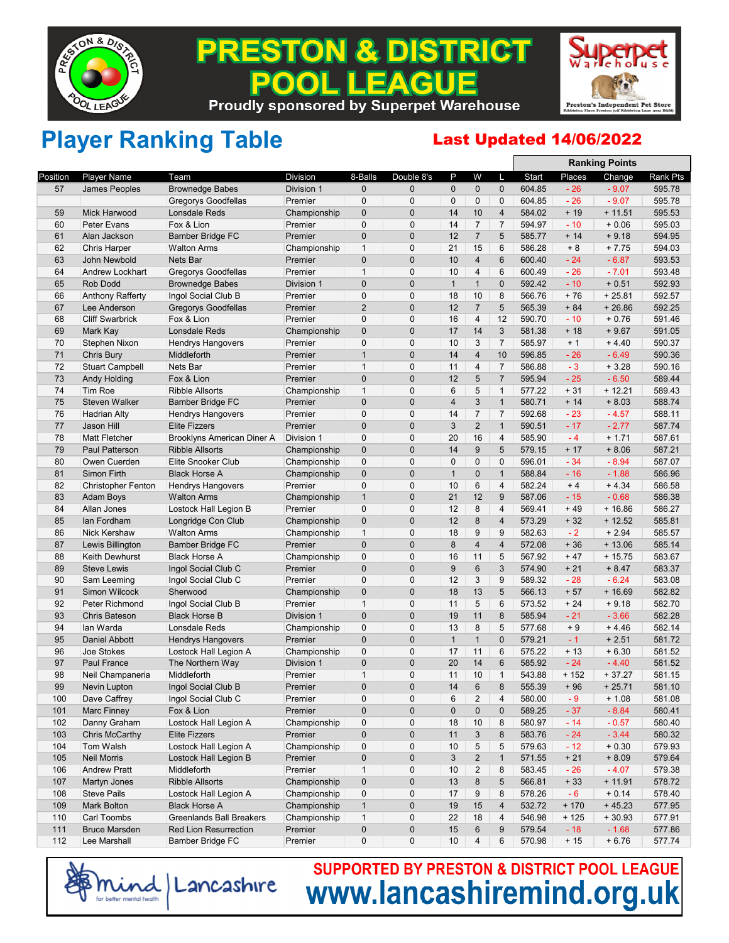

### **& DISTRICT** PREST ON **EAGUE**  $\bullet$ **Proudly sponsored by Superpet Warehouse**



**Ranking Points**

## Player Ranking Table **Last Updated 14/06/2022**

|          |                           |                                                  |                         |                             |                          |              |                         |                         |        |               | Ralikiliy Politis   |                  |
|----------|---------------------------|--------------------------------------------------|-------------------------|-----------------------------|--------------------------|--------------|-------------------------|-------------------------|--------|---------------|---------------------|------------------|
| Position | <b>Player Name</b>        | Team                                             | <b>Division</b>         | 8-Balls                     | Double 8's               | P            | W                       | L                       | Start  | Places        | Change              | Rank Pts         |
| 57       | James Peoples             | <b>Brownedge Babes</b>                           | Division 1              | 0                           | $\mathbf{0}$             | 0            | $\mathbf 0$             | $\mathbf 0$             | 604.85 | $-26$         | $-9.07$             | 595.78           |
|          |                           | Gregorys Goodfellas                              | Premier                 | $\mathbf 0$                 | $\mathbf 0$              | $\mathbf 0$  | 0                       | $\mathbf 0$             | 604.85 | $-26$         | $-9.07$             | 595.78           |
| 59       | Mick Harwood              | Lonsdale Reds                                    | Championship            | $\mathbf 0$                 | $\mathbf{0}$             | 14           | 10                      | $\overline{\mathbf{4}}$ | 584.02 | $+19$         | $+11.51$            | 595.53           |
| 60       | <b>Peter Evans</b>        | Fox & Lion                                       | Premier                 | $\mathbf 0$                 | $\mathbf 0$              | 14           | $\overline{7}$          | $\overline{7}$          | 594.97 | $-10$         | $+0.06$             | 595.03           |
| 61       | Alan Jackson              | <b>Bamber Bridge FC</b>                          | Premier                 | $\pmb{0}$                   | $\mathbf 0$              | 12           | $\overline{7}$          | 5                       | 585.77 | $+14$         | $+9.18$             | 594.95           |
| 62       | <b>Chris Harper</b>       | <b>Walton Arms</b>                               | Championship            | $\mathbf{1}$                | $\mathbf 0$              | 21           | 15                      | 6                       | 586.28 | $+8$          | $+7.75$             | 594.03           |
| 63       | John Newbold              | Nets Bar                                         | Premier                 | 0                           | $\mathbf 0$              | 10           | $\overline{4}$          | 6                       | 600.40 | $-24$         | $-6.87$             | 593.53           |
| 64       | Andrew Lockhart           | <b>Gregorys Goodfellas</b>                       | Premier                 | $\mathbf{1}$                | $\mathbf 0$              | 10           | 4                       | 6                       | 600.49 | $-26$         | $-7.01$             | 593.48           |
| 65       | <b>Rob Dodd</b>           | <b>Brownedge Babes</b>                           | Division 1              | 0                           | $\pmb{0}$                | $\mathbf{1}$ | $\mathbf{1}$            | $\pmb{0}$               | 592.42 | $-10$         | $+0.51$             | 592.93           |
| 66       | <b>Anthony Rafferty</b>   | Ingol Social Club B                              | Premier                 | 0                           | $\mathbf 0$              | 18           | 10                      | 8                       | 566.76 | $+76$         | $+25.81$            | 592.57           |
| 67       | Lee Anderson              | <b>Gregorys Goodfellas</b>                       | Premier                 | $\overline{2}$              | $\mathbf 0$              | 12           | $\overline{7}$          | 5                       | 565.39 | $+84$         | $+26.86$            | 592.25           |
| 68       | <b>Cliff Swarbrick</b>    | Fox & Lion                                       | Premier                 | $\mathbf 0$                 | $\mathbf 0$              | 16           | 4                       | 12                      | 590.70 | $-10$         | $+0.76$             | 591.46           |
| 69       | Mark Kay                  | Lonsdale Reds                                    | Championship            | $\pmb{0}$                   | $\mathbf 0$              | 17           | 14                      | 3                       | 581.38 | $+18$         | $+9.67$             | 591.05           |
| 70       | Stephen Nixon             | Hendrys Hangovers                                | Premier                 | $\mathbf 0$                 | 0                        | 10           | 3                       | $\overline{7}$          | 585.97 | $+1$          | $+4.40$             | 590.37           |
| 71       | Chris Bury                | Middleforth                                      | Premier                 | $\mathbf{1}$                | $\mathbf 0$              | 14           | $\overline{4}$          | 10                      | 596.85 | $-26$         | $-6.49$             | 590.36           |
| 72       | <b>Stuart Campbell</b>    | Nets Bar                                         | Premier                 | $\mathbf{1}$                | $\mathbf 0$              | 11           | 4                       | $\overline{7}$          | 586.88 | $-3$          | $+3.28$             | 590.16           |
| 73       | Andy Holding              | Fox & Lion                                       | Premier                 | $\mathbf 0$                 | $\pmb{0}$                | 12           | 5                       | $\overline{7}$          | 595.94 | $-25$         | $-6.50$             | 589.44           |
| 74       | <b>Tim Roe</b>            | <b>Ribble Allsorts</b>                           | Championship            | $\mathbf{1}$                | $\mathbf 0$              | 6            | 5                       | $\mathbf{1}$            | 577.22 | $+31$         | $+12.21$            | 589.43           |
| 75       | Steven Walker             | <b>Bamber Bridge FC</b>                          | Premier                 | $\mathbf 0$                 | $\mathbf 0$              | 4            | $\sqrt{3}$              | $\mathbf{1}$            | 580.71 | $+14$         | $+8.03$             | 588.74           |
| 76       | <b>Hadrian Alty</b>       | Hendrys Hangovers                                | Premier                 | 0                           | $\mathbf 0$              | 14           | $\overline{7}$          | $\overline{7}$          | 592.68 | $-23$         | $-4.57$             | 588.11           |
| 77       | Jason Hill                | <b>Elite Fizzers</b>                             | Premier                 | 0                           | $\mathbf{0}$             | 3            | $\overline{2}$          | $\mathbf{1}$            | 590.51 | $-17$         | $-2.77$             | 587.74           |
| 78       | <b>Matt Fletcher</b>      | Brooklyns American Diner A                       | Division 1              | $\mathbf 0$                 | $\mathbf 0$              | 20           | 16                      | $\overline{4}$          | 585.90 | $-4$          | $+1.71$             | 587.61           |
| 79       | <b>Paul Patterson</b>     | <b>Ribble Allsorts</b>                           | Championship            | $\mathbf 0$                 | $\pmb{0}$                | 14           | 9                       | 5                       | 579.15 | $+17$         | $+8.06$             | 587.21           |
| 80       | Owen Cuerden              | Elite Snooker Club                               | Championship            | $\mathbf 0$                 | $\mathbf 0$              | 0            | $\mathbf 0$             | $\mathbf 0$             | 596.01 | $-34$         | $-8.94$             | 587.07           |
|          |                           |                                                  |                         | $\mathbf 0$                 | $\pmb{0}$                | $\mathbf{1}$ | $\mathbf 0$             | $\mathbf{1}$            | 588.84 | $-16$         | $-1.88$             | 586.96           |
| 81<br>82 | Simon Firth               | <b>Black Horse A</b><br><b>Hendrys Hangovers</b> | Championship<br>Premier | $\mathbf 0$                 | 0                        | 10           | 6                       | 4                       | 582.24 | $+4$          | $+4.34$             | 586.58           |
|          | <b>Christopher Fenton</b> |                                                  |                         |                             |                          |              |                         |                         |        |               |                     |                  |
| 83       | <b>Adam Boys</b>          | <b>Walton Arms</b>                               | Championship            | $\mathbf{1}$<br>$\mathbf 0$ | $\pmb{0}$<br>$\mathbf 0$ | 21           | 12                      | 9                       | 587.06 | $-15$         | $-0.68$             | 586.38           |
| 84       | Allan Jones               | Lostock Hall Legion B                            | Premier                 |                             | $\pmb{0}$                | 12<br>12     | 8                       | 4<br>$\overline{4}$     | 569.41 | $+49$         | $+16.86$            | 586.27           |
| 85<br>86 | lan Fordham               | Longridge Con Club                               | Championship            | $\mathbf 0$<br>$\mathbf{1}$ | $\mathbf 0$              | 18           | 8<br>9                  | 9                       | 573.29 | $+32$<br>$-2$ | $+12.52$<br>$+2.94$ | 585.81<br>585.57 |
|          | <b>Nick Kershaw</b>       | <b>Walton Arms</b>                               | Championship            |                             |                          |              |                         |                         | 582.63 |               |                     |                  |
| 87       | Lewis Billington          | Bamber Bridge FC                                 | Premier                 | $\mathbf 0$                 | $\mathbf{0}$             | 8            | 4                       | 4<br>5                  | 572.08 | $+36$         | $+13.06$            | 585.14           |
| 88       | Keith Dewhurst            | <b>Black Horse A</b>                             | Championship            | 0                           | 0<br>$\mathbf{0}$        | 16           | 11                      |                         | 567.92 | $+47$         | $+15.75$            | 583.67           |
| 89       | <b>Steve Lewis</b>        | Ingol Social Club C                              | Premier                 | $\mathbf 0$                 |                          | 9            | 6                       | 3                       | 574.90 | $+21$         | $+8.47$             | 583.37           |
| 90       | Sam Leeming               | Ingol Social Club C                              | Premier                 | $\pmb{0}$                   | $\mathbf 0$              | 12           | 3                       | 9                       | 589.32 | $-28$         | $-6.24$             | 583.08           |
| 91       | Simon Wilcock             | Sherwood                                         | Championship            | $\mathbf 0$                 | $\pmb{0}$                | 18           | 13                      | 5                       | 566.13 | $+57$         | $+16.69$            | 582.82           |
| 92       | Peter Richmond            | Ingol Social Club B                              | Premier                 | $\mathbf{1}$                | $\mathbf 0$              | 11           | 5                       | 6                       | 573.52 | $+24$         | $+9.18$             | 582.70           |
| 93       | <b>Chris Bateson</b>      | <b>Black Horse B</b>                             | Division 1              | $\mathbf 0$                 | $\mathbf{0}$             | 19           | 11                      | 8                       | 585.94 | $-21$         | $-3.66$             | 582.28           |
| 94       | lan Warda                 | Lonsdale Reds                                    | Championship            | $\mathbf 0$                 | 0                        | 13           | 8                       | 5                       | 577.68 | $+9$          | $+4.46$             | 582.14           |
| 95       | Daniel Abbott             | <b>Hendrys Hangovers</b>                         | Premier                 | $\pmb{0}$                   | $\pmb{0}$                | $\mathbf{1}$ | $\mathbf{1}$            | $\mathbf 0$             | 579.21 | $-1$          | $+2.51$             | 581.72           |
| 96       | Joe Stokes                | Lostock Hall Legion A                            | Championship            | $\mathbf 0$                 | $\mathbf 0$              | 17           | 11                      | 6                       | 575.22 | $+13$         | $+6.30$             | 581.52           |
| 97       | Paul France               | The Northern Way                                 | Division 1              | $\pmb{0}$                   | $\pmb{0}$                | 20           | 14                      | $6\phantom{1}$          | 585.92 | $-24$         | $-4.40$             | 581.52           |
| 98       | Neil Champaneria          | Middleforth                                      | Premier                 | $\mathbf{1}$                | $\mathbf 0$              | 11           | 10                      | $\mathbf{1}$            | 543.88 | $+152$        | $+37.27$            | 581.15           |
| 99       | <b>Nevin Lupton</b>       | Ingol Social Club B                              | Premier                 | 0                           | $\mathbf{0}$             | 14           | 6                       | 8                       | 555.39 | $+96$         | $+25.71$            | 581.10           |
| 100      | Dave Caffrey              | Ingol Social Club C                              | Premier                 | 0                           | 0                        | 6            | $\overline{c}$          | $\overline{\mathbf{4}}$ | 580.00 | - 9           | $+1.08$             | 581.08           |
| 101      | <b>Marc Finney</b>        | Fox & Lion                                       | Premier                 | $\mathbf 0$                 | $\mathbf 0$              | 0            | 0                       | $\pmb{0}$               | 589.25 | $-37$         | $-8.84$             | 580.41           |
| 102      | Danny Graham              | Lostock Hall Legion A                            | Championship            | 0                           | 0                        | 18           | 10                      | 8                       | 580.97 | $-14$         | $-0.57$             | 580.40           |
| 103      | Chris McCarthy            | <b>Elite Fizzers</b>                             | Premier                 | $\mathbf 0$                 | $\pmb{0}$                | 11           | 3                       | 8                       | 583.76 | $-24$         | $-3.44$             | 580.32           |
| 104      | Tom Walsh                 | Lostock Hall Legion A                            | Championship            | 0                           | 0                        | 10           | 5                       | 5                       | 579.63 | $-12$         | $+0.30$             | 579.93           |
| 105      | <b>Neil Morris</b>        | Lostock Hall Legion B                            | Premier                 | 0                           | $\pmb{0}$                | 3            | $\overline{\mathbf{c}}$ | $\mathbf{1}$            | 571.55 | $+21$         | $+8.09$             | 579.64           |
| 106      | <b>Andrew Pratt</b>       | Middleforth                                      | Premier                 | $\mathbf{1}$                | 0                        | 10           | $\overline{2}$          | 8                       | 583.45 | $-26$         | $-4.07$             | 579.38           |
| 107      | Martyn Jones              | <b>Ribble Allsorts</b>                           | Championship            | $\mathbf 0$                 | $\mathbf 0$              | 13           | 8                       | 5                       | 566.81 | $+33$         | $+11.91$            | 578.72           |
| 108      | <b>Steve Pails</b>        | Lostock Hall Legion A                            | Championship            | 0                           | 0                        | 17           | 9                       | 8                       | 578.26 | $-6$          | $+0.14$             | 578.40           |
| 109      | Mark Bolton               | <b>Black Horse A</b>                             | Championship            | $\mathbf{1}$                | $\pmb{0}$                | 19           | 15                      | $\overline{4}$          | 532.72 | $+170$        | $+45.23$            | 577.95           |
| 110      | Carl Toombs               | <b>Greenlands Ball Breakers</b>                  | Championship            | $\mathbf{1}$                | 0                        | 22           | 18                      | 4                       | 546.98 | $+125$        | $+30.93$            | 577.91           |
| 111      | <b>Bruce Marsden</b>      | Red Lion Resurrection                            | Premier                 | 0                           | $\pmb{0}$                | 15           | 6                       | 9                       | 579.54 | $-18$         | $-1.68$             | 577.86           |
| 112      | Lee Marshall              | Bamber Bridge FC                                 | Premier                 | 0                           | 0                        | 10           | $\overline{4}$          | 6                       | 570.98 | $+15$         | $+6.76$             | 577.74           |
|          |                           |                                                  |                         |                             |                          |              |                         |                         |        |               |                     |                  |

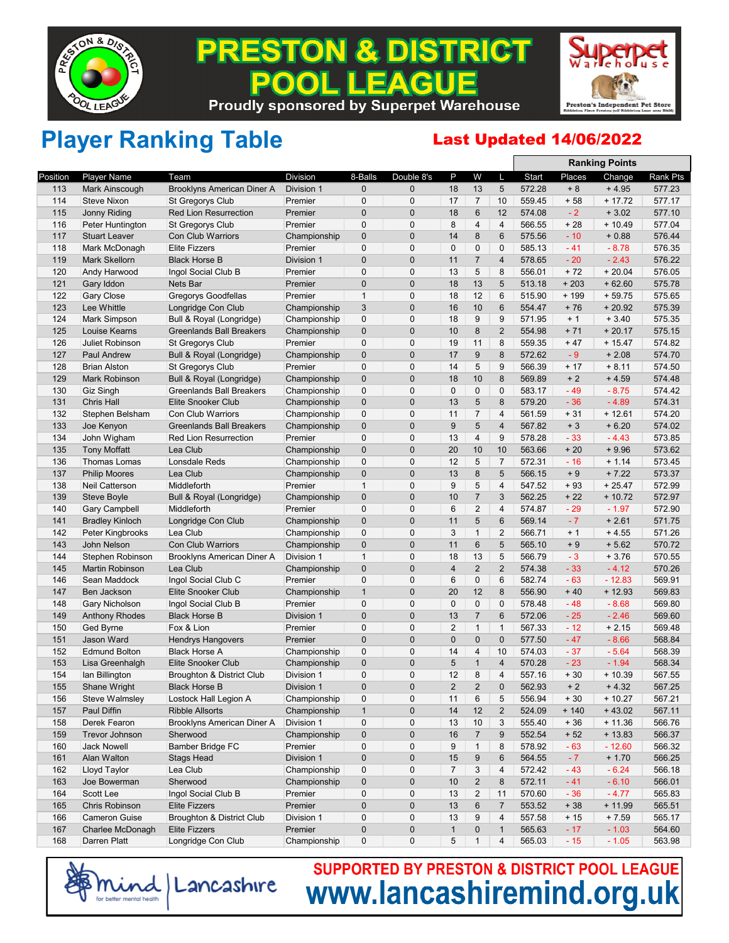

### **& DISTRICT** PREST ON **EAGUE**  $\bullet$ **Proudly sponsored by Superpet Warehouse**



**Ranking Points**

## Player Ranking Table **Last Updated 14/06/2022**

|            |                        |                                 |                         |                            |                  |                         |                      |                         |        |               | <b>Ranking Points</b> |                  |
|------------|------------------------|---------------------------------|-------------------------|----------------------------|------------------|-------------------------|----------------------|-------------------------|--------|---------------|-----------------------|------------------|
| Position   | <b>Player Name</b>     | Team                            | <b>Division</b>         | 8-Balls                    | Double 8's       | P                       | W                    | L                       | Start  | Places        | Change                | Rank Pts         |
| 113        | Mark Ainscough         | Brooklyns American Diner A      | Division 1              | $\mathbf 0$                | $\overline{0}$   | 18                      | 13                   | 5                       | 572.28 | $+8$          | $+4.95$               | 577.23           |
| 114        | <b>Steve Nixon</b>     | <b>St Gregorys Club</b>         | Premier                 | 0                          | $\mathbf 0$      | 17                      | $\overline{7}$       | 10                      | 559.45 | $+58$         | $+17.72$              | 577.17           |
| 115        | Jonny Riding           | <b>Red Lion Resurrection</b>    | Premier                 | $\mathbf 0$                | $\mathbf 0$      | 18                      | 6                    | 12                      | 574.08 | $-2$          | $+3.02$               | 577.10           |
| 116        | Peter Huntington       | <b>St Gregorys Club</b>         | Premier                 | $\mathbf 0$                | $\mathbf 0$      | 8                       | $\overline{4}$       | 4                       | 566.55 | $+28$         | $+10.49$              | 577.04           |
| 117        | <b>Stuart Leaver</b>   | <b>Con Club Warriors</b>        | Championship            | $\mathbf 0$                | 0                | 14                      | 8                    | 6                       | 575.56 | $-10$         | $+0.88$               | 576.44           |
| 118        | Mark McDonagh          | <b>Elite Fizzers</b>            | Premier                 | 0                          | 0                | 0                       | $\pmb{0}$            | $\pmb{0}$               | 585.13 | $-41$         | $-8.78$               | 576.35           |
| 119        | <b>Mark Skellorn</b>   | <b>Black Horse B</b>            | Division 1              | $\mathbf{0}$               | $\mathbf{0}$     | 11                      | $\overline{7}$       | $\overline{4}$          | 578.65 | $-20$         | $-2.43$               | 576.22           |
| 120        | Andy Harwood           | Ingol Social Club B             | Premier                 | 0                          | $\mathbf 0$      | 13                      | 5                    | 8                       | 556.01 | $+72$         | $+20.04$              | 576.05           |
| 121        | Gary Iddon             | Nets Bar                        | Premier                 | $\mathbf 0$                | $\overline{0}$   | 18                      | 13                   | 5                       | 513.18 | $+203$        | $+62.60$              | 575.78           |
| 122        | <b>Gary Close</b>      | <b>Gregorys Goodfellas</b>      | Premier                 | $\mathbf{1}$               | $\mathbf 0$      | 18                      | 12                   | 6                       | 515.90 | $+199$        | $+59.75$              | 575.65           |
| 123        | Lee Whittle            | Longridge Con Club              | Championship            | 3                          | 0                | 16                      | 10                   | 6                       | 554.47 | $+76$         | $+20.92$              | 575.39           |
| 124        | Mark Simpson           | Bull & Royal (Longridge)        | Championship            | $\mathbf 0$                | 0                | 18                      | 9                    | 9                       | 571.95 | $+1$          | $+3.40$               | 575.35           |
| 125        | Louise Kearns          | <b>Greenlands Ball Breakers</b> | Championship            | $\mathbf{0}$               | $\mathbf{0}$     | 10                      | 8                    | $\overline{2}$          | 554.98 | $+71$         | $+20.17$              | 575.15           |
| 126        | <b>Juliet Robinson</b> | <b>St Gregorys Club</b>         | Premier                 | $\mathbf 0$                | $\mathbf 0$      | 19                      | 11                   | 8                       | 559.35 | $+47$         | $+15.47$              | 574.82           |
| 127        | <b>Paul Andrew</b>     | Bull & Royal (Longridge)        | Championship            | $\mathbf 0$                | $\overline{0}$   | 17                      | 9                    | 8                       | 572.62 | $-9$          | $+2.08$               | 574.70           |
| 128        | <b>Brian Alston</b>    | St Gregorys Club                | Premier                 | 0                          | 0                | 14                      | 5                    | 9                       | 566.39 | $+17$         | $+8.11$               | 574.50           |
| 129        | <b>Mark Robinson</b>   | Bull & Royal (Longridge)        | Championship            | $\mathbf 0$                | $\mathbf 0$      | 18                      | 10                   | 8                       | 569.89 | $+2$          | $+4.59$               | 574.48           |
| 130        | Giz Singh              | <b>Greenlands Ball Breakers</b> | Championship            | $\mathbf 0$                | 0                | 0                       | $\mathbf{0}$         | $\pmb{0}$               | 583.17 | $-49$         | $-8.75$               | 574.42           |
| 131        | <b>Chris Hall</b>      | <b>Elite Snooker Club</b>       | Championship            | $\mathbf 0$                | $\overline{0}$   | 13                      | 5                    | 8                       | 579.20 | $-36$         | $-4.89$               | 574.31           |
| 132        | Stephen Belsham        | <b>Con Club Warriors</b>        | Championship            | $\mathbf 0$                | $\mathbf 0$      | 11                      | $\overline{7}$       | $\overline{4}$          | 561.59 | $+31$         | $+12.61$              | 574.20           |
| 133        | Joe Kenyon             | <b>Greenlands Ball Breakers</b> | Championship            | $\mathbf{0}$               | $\overline{0}$   | 9                       | 5                    | $\overline{4}$          | 567.82 | $+3$          | $+6.20$               | 574.02           |
| 134        | John Wigham            | <b>Red Lion Resurrection</b>    | Premier                 | 0                          | 0                | 13                      | $\overline{4}$       | 9                       | 578.28 | $-33$         | $-4.43$               | 573.85           |
| 135        | <b>Tony Moffatt</b>    | Lea Club                        | Championship            | $\mathbf 0$                | $\mathbf 0$      | 20                      | 10                   | 10                      | 563.66 | $+20$         | $+9.96$               | 573.62           |
| 136        | Thomas Lomas           | Lonsdale Reds                   | Championship            | $\mathbf{0}$               | $\mathbf 0$      | 12                      | 5                    | $\overline{7}$          | 572.31 | $-16$         | $+ 1.14$              | 573.45           |
| 137        |                        |                                 |                         | $\mathbf 0$                | $\overline{0}$   | 13                      | 8                    | 5                       | 566.15 | $+9$          | $+7.22$               | 573.37           |
| 138        | <b>Philip Moores</b>   | Lea Club<br>Middleforth         | Championship<br>Premier | $\mathbf{1}$               | $\mathbf 0$      | 9                       | 5                    | $\overline{\mathbf{4}}$ | 547.52 | $+93$         | $+25.47$              | 572.99           |
| 139        | Neil Catterson         |                                 |                         | $\mathbf{0}$               | $\mathbf{0}$     | 10                      | $\overline{7}$       | 3                       | 562.25 | $+22$         | $+10.72$              | 572.97           |
|            | Steve Boyle            | Bull & Royal (Longridge)        | Championship<br>Premier | $\mathbf 0$                | 0                | 6                       | $\overline{2}$       | 4                       | 574.87 | $-29$         |                       | 572.90           |
| 140        | <b>Gary Campbell</b>   | Middleforth                     |                         | $\mathbf 0$                | $\mathbf 0$      | 11                      | 5                    | $6\phantom{1}$          |        | $-7$          | $-1.97$               | 571.75           |
| 141<br>142 | <b>Bradley Kinloch</b> | Longridge Con Club<br>Lea Club  | Championship            | $\mathbf 0$                | 0                | 3                       | $\mathbf{1}$         | $\overline{2}$          | 569.14 | $+1$          | $+2.61$               | 571.26           |
|            | Peter Kingbrooks       |                                 | Championship            | $\mathbf 0$                | $\mathbf{0}$     |                         |                      | 5                       | 566.71 |               | $+4.55$               |                  |
| 143        | John Nelson            | <b>Con Club Warriors</b>        | Championship            | $\mathbf{1}$               | 0                | 11<br>18                | 6                    | 5                       | 565.10 | $+9$          | $+5.62$               | 570.72<br>570.55 |
| 144        | Stephen Robinson       | Brooklyns American Diner A      | Division 1              |                            | $\overline{0}$   | $\overline{\mathbf{4}}$ | 13<br>$\overline{2}$ | $\overline{2}$          | 566.79 | $-3$<br>$-33$ | $+3.76$               |                  |
| 145        | <b>Martin Robinson</b> | Lea Club                        | Championship            | $\mathbf 0$<br>$\mathbf 0$ |                  |                         |                      |                         | 574.38 |               | $-4.12$               | 570.26           |
| 146        | Sean Maddock           | Ingol Social Club C             | Premier                 |                            | 0<br>$\mathbf 0$ | 6<br>20                 | $\pmb{0}$<br>12      | 6                       | 582.74 | $-63$         | $-12.83$              | 569.91           |
| 147        | Ben Jackson            | Elite Snooker Club              | Championship            | $\mathbf{1}$               |                  |                         |                      | 8                       | 556.90 | $+40$         | $+12.93$              | 569.83           |
| 148        | Gary Nicholson         | Ingol Social Club B             | Premier                 | $\mathbf{0}$               | 0                | $\mathbf 0$             | 0                    | $\mathbf 0$             | 578.48 | $-48$         | $-8.68$               | 569.80           |
| 149        | <b>Anthony Rhodes</b>  | <b>Black Horse B</b>            | Division 1              | $\mathbf 0$                | $\overline{0}$   | 13                      | $\overline{7}$       | 6                       | 572.06 | $-25$         | $-2.46$               | 569.60           |
| 150        | Ged Byrne              | Fox & Lion                      | Premier                 | $\mathbf 0$                | $\mathbf 0$      | 2                       | $\mathbf{1}$         | $\mathbf{1}$            | 567.33 | $-12$         | $+2.15$               | 569.48           |
| 151        | Jason Ward             | <b>Hendrys Hangovers</b>        | Premier                 | $\mathbf 0$                | $\overline{0}$   | $\overline{0}$          | $\mathbf 0$          | $\pmb{0}$               | 577.50 | $-47$         | $-8.66$               | 568.84           |
| 152        | <b>Edmund Bolton</b>   | <b>Black Horse A</b>            | Championship            | 0                          | 0                | 14                      | 4                    | 10                      | 574.03 | $-37$         | $-5.64$               | 568.39           |
| 153        | Lisa Greenhalgh        | Elite Snooker Club              | Championship            | $\mathbf 0$                | 0                | 5                       | $\mathbf{1}$         | $\overline{\mathbf{4}}$ | 570.28 | $-23$         | $-1.94$               | 568.34           |
| 154        | lan Billington         | Broughton & District Club       | Division 1              | $\mathbf{0}$               | 0                | 12                      | 8                    | $\overline{4}$          | 557.16 | $+30$         | $+10.39$              | 567.55           |
| 155        | Shane Wright           | <b>Black Horse B</b>            | Division 1              | $\overline{0}$             | $\Omega$         | $\overline{2}$          | $\overline{2}$       | $\mathbf{0}$            | 562.93 | $+2$          | $+4.32$               | 567.25           |
| 156        | Steve Walmsley         | Lostock Hall Legion A           | Championship            | U                          | 0                | 11                      | 6                    | 5                       | 556.94 | $+30$         | $+10.27$              | 567.21           |
| 157        | Paul Diffin            | <b>Ribble Allsorts</b>          | Championship            | $\mathbf{1}$               | 0                | 14                      | 12                   | $\overline{2}$          | 524.09 | $+ 140$       | $+43.02$              | 567.11           |
| 158        | Derek Fearon           | Brooklyns American Diner A      | Division 1              | $\mathbf 0$                | 0                | 13                      | 10                   | 3                       | 555.40 | $+36$         | $+11.36$              | 566.76           |
| 159        | Trevor Johnson         | Sherwood                        | Championship            | $\mathbf 0$                | $\pmb{0}$        | 16                      | $\overline{7}$       | $\boldsymbol{9}$        | 552.54 | $+52$         | $+13.83$              | 566.37           |
| 160        | <b>Jack Nowell</b>     | Bamber Bridge FC                | Premier                 | 0                          | 0                | 9                       | $\mathbf{1}$         | 8                       | 578.92 | $-63$         | $-12.60$              | 566.32           |
| 161        | Alan Walton            | <b>Stags Head</b>               | Division 1              | $\mathbf 0$                | $\mathbf 0$      | 15                      | 9                    | 6                       | 564.55 | $-7$          | $+1.70$               | 566.25           |
| 162        | Lloyd Taylor           | Lea Club                        | Championship            | 0                          | 0                | 7                       | 3                    | 4                       | 572.42 | - 43          | $-6.24$               | 566.18           |
| 163        | Joe Bowerman           | Sherwood                        | Championship            | $\mathbf 0$                | $\mathbf 0$      | 10                      | $\overline{2}$       | 8                       | 572.11 | $-41$         | $-6.10$               | 566.01           |
| 164        | Scott Lee              | Ingol Social Club B             | Premier                 | $\mathbf 0$                | 0                | 13                      | $\overline{2}$       | 11                      | 570.60 | $-36$         | $-4.77$               | 565.83           |
| 165        | Chris Robinson         | <b>Elite Fizzers</b>            | Premier                 | $\pmb{0}$                  | $\pmb{0}$        | 13                      | $\,6\,$              | $\overline{7}$          | 553.52 | $+38$         | $+11.99$              | 565.51           |
| 166        | <b>Cameron Guise</b>   | Broughton & District Club       | Division 1              | $\mathbf 0$                | 0                | 13                      | 9                    | 4                       | 557.58 | $+15$         | $+7.59$               | 565.17           |
| 167        | Charlee McDonagh       | <b>Elite Fizzers</b>            | Premier                 | $\mathbf 0$                | 0                | $\mathbf{1}$            | 0                    | $\mathbf{1}$            | 565.63 | $-17$         | $-1.03$               | 564.60           |
| 168        | Darren Platt           | Longridge Con Club              | Championship            | 0                          | 0                | 5                       | $\mathbf{1}$         | 4                       | 565.03 | - 15          | $-1.05$               | 563.98           |
|            |                        |                                 |                         |                            |                  |                         |                      |                         |        |               |                       |                  |

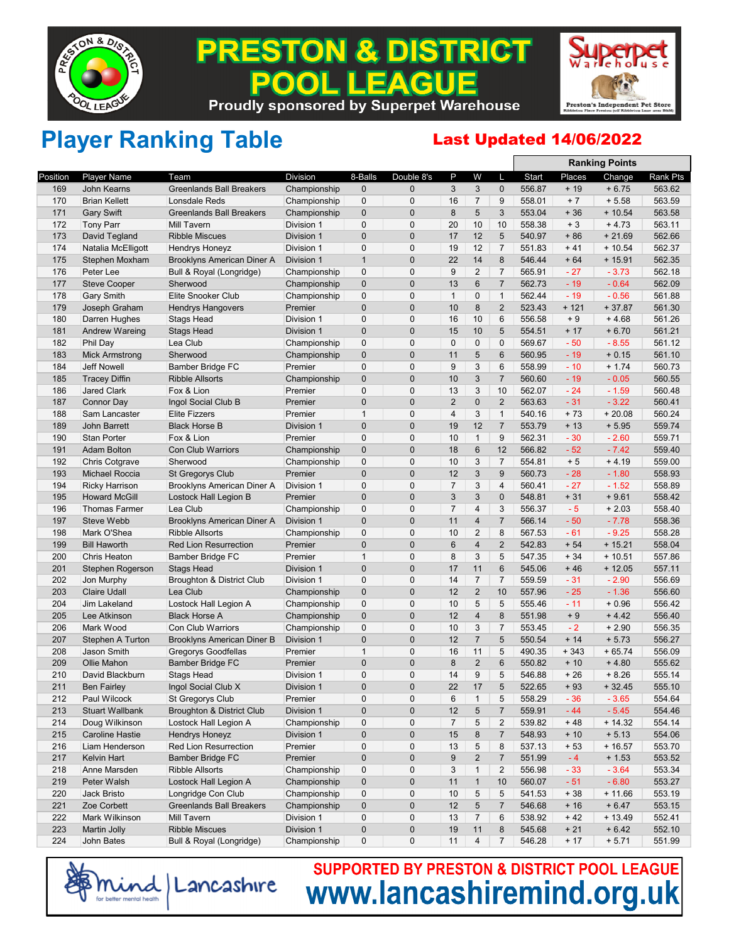

### **PRESTON & DISTRICT** EACUE **Proudly sponsored by Superpet Warehouse**



## Player Ranking Table **Last Updated 14/06/2022**

|          |                        |                                   |                 |                |                |                |                |                  |        |        | <b>Ranking Points</b> |          |
|----------|------------------------|-----------------------------------|-----------------|----------------|----------------|----------------|----------------|------------------|--------|--------|-----------------------|----------|
| Position | <b>Player Name</b>     | Team                              | <b>Division</b> | 8-Balls        | Double 8's     | P              | W              | L                | Start  | Places | Change                | Rank Pts |
| 169      | John Kearns            | <b>Greenlands Ball Breakers</b>   | Championship    | 0              | $\mathbf{0}$   | 3              | 3              | $\mathbf 0$      | 556.87 | $+19$  | $+6.75$               | 563.62   |
| 170      | <b>Brian Kellett</b>   | Lonsdale Reds                     | Championship    | $\mathbf{0}$   | $\mathbf 0$    | 16             | $\overline{7}$ | 9                | 558.01 | $+7$   | $+5.58$               | 563.59   |
| 171      | <b>Gary Swift</b>      | <b>Greenlands Ball Breakers</b>   | Championship    | $\mathbf 0$    | $\mathbf 0$    | $\bf 8$        | 5              | 3                | 553.04 | $+36$  | $+10.54$              | 563.58   |
| 172      | <b>Tony Parr</b>       | Mill Tavern                       | Division 1      | $\mathbf 0$    | 0              | 20             | 10             | 10               | 558.38 | $+3$   | $+4.73$               | 563.11   |
| 173      | David Tegland          | <b>Ribble Miscues</b>             | Division 1      | 0              | $\mathbf 0$    | 17             | 12             | 5                | 540.97 | $+86$  | $+21.69$              | 562.66   |
| 174      | Natalia McElligott     | <b>Hendrys Honeyz</b>             | Division 1      | $\mathbf 0$    | $\mathbf 0$    | 19             | 12             | $\overline{7}$   | 551.83 | $+41$  | $+10.54$              | 562.37   |
| 175      | Stephen Moxham         | Brooklyns American Diner A        | Division 1      | $\mathbf{1}$   | $\pmb{0}$      | 22             | 14             | $\bf 8$          | 546.44 | $+64$  | $+15.91$              | 562.35   |
| 176      | Peter Lee              | Bull & Royal (Longridge)          | Championship    | $\mathbf{0}$   | $\mathbf 0$    | 9              | $\overline{2}$ | $\overline{7}$   | 565.91 | $-27$  | $-3.73$               | 562.18   |
| 177      | <b>Steve Cooper</b>    | Sherwood                          | Championship    | 0              | $\mathbf{0}$   | 13             | $\,6\,$        | $\overline{7}$   | 562.73 | $-19$  | $-0.64$               | 562.09   |
| 178      | <b>Gary Smith</b>      | Elite Snooker Club                | Championship    | 0              | $\mathbf 0$    | $\mathbf{1}$   | $\mathbf 0$    | $\mathbf{1}$     | 562.44 | $-19$  | $-0.56$               | 561.88   |
| 179      | Joseph Graham          | <b>Hendrys Hangovers</b>          | Premier         | 0              | $\mathbf 0$    | 10             | 8              | $\overline{2}$   | 523.43 | $+121$ | $+37.87$              | 561.30   |
| 180      | Darren Hughes          | <b>Stags Head</b>                 | Division 1      | $\mathbf 0$    | $\mathbf 0$    | 16             | 10             | 6                | 556.58 | $+9$   | $+4.68$               | 561.26   |
| 181      | <b>Andrew Wareing</b>  | <b>Stags Head</b>                 | Division 1      | $\mathbf{0}$   | $\mathbf{0}$   | 15             | 10             | 5                | 554.51 | $+17$  | $+6.70$               | 561.21   |
| 182      | Phil Day               | Lea Club                          | Championship    | 0              | $\mathbf 0$    | $\mathbf 0$    | $\mathbf 0$    | $\mathbf 0$      | 569.67 | $-50$  | $-8.55$               | 561.12   |
| 183      | <b>Mick Armstrong</b>  | Sherwood                          | Championship    | 0              | $\mathbf{0}$   | 11             | 5              | $6\phantom{1}6$  | 560.95 | $-19$  | $+0.15$               | 561.10   |
| 184      | <b>Jeff Nowell</b>     | Bamber Bridge FC                  | Premier         | $\mathbf{0}$   | $\pmb{0}$      | 9              | 3              | $6\phantom{1}$   | 558.99 | $-10$  | $+1.74$               | 560.73   |
| 185      | <b>Tracey Diffin</b>   | <b>Ribble Allsorts</b>            | Championship    | 0              | $\overline{0}$ | 10             | 3              | $\overline{7}$   | 560.60 | $-19$  | $-0.05$               | 560.55   |
| 186      | <b>Jared Clark</b>     | Fox & Lion                        | Premier         | $\mathbf 0$    | $\mathbf 0$    | 13             | $\sqrt{3}$     | 10               | 562.07 | $-24$  | $-1.59$               | 560.48   |
| 187      | Connor Day             | Ingol Social Club B               | Premier         | $\pmb{0}$      | $\mathbf{0}$   | $\overline{2}$ | $\mathbf 0$    | $\overline{2}$   | 563.63 | $-31$  | $-3.22$               | 560.41   |
| 188      | Sam Lancaster          | <b>Elite Fizzers</b>              | Premier         | $\mathbf{1}$   | $\mathbf 0$    | $\overline{4}$ | 3              | $\mathbf{1}$     | 540.16 | $+73$  | $+20.08$              | 560.24   |
| 189      | <b>John Barrett</b>    | <b>Black Horse B</b>              | Division 1      | $\mathbf 0$    | $\mathbf{0}$   | 19             | 12             | $\overline{7}$   | 553.79 | $+13$  | $+5.95$               | 559.74   |
| 190      | <b>Stan Porter</b>     | Fox & Lion                        | Premier         | $\mathbf{0}$   | $\pmb{0}$      | 10             | $\mathbf{1}$   | 9                | 562.31 | $-30$  | $-2.60$               | 559.71   |
| 191      | <b>Adam Bolton</b>     | <b>Con Club Warriors</b>          | Championship    | 0              | $\pmb{0}$      | 18             | $\,6\,$        | 12               | 566.82 | $-52$  | $-7.42$               | 559.40   |
| 192      | <b>Chris Cotgrave</b>  | Sherwood                          | Championship    | $\mathbf 0$    | $\mathbf 0$    | 10             | 3              | $\overline{7}$   | 554.81 | $+5$   | $+4.19$               | 559.00   |
| 193      | <b>Michael Roccia</b>  | St Gregorys Club                  | Premier         | 0              | $\mathbf 0$    | 12             | 3              | $9\,$            | 560.73 | $-28$  | $-1.80$               | 558.93   |
| 194      | <b>Ricky Harrison</b>  | Brooklyns American Diner A        | Division 1      | $\mathbf 0$    | $\mathbf 0$    | $\overline{7}$ | $\sqrt{3}$     | $\overline{4}$   | 560.41 | $-27$  | $-1.52$               | 558.89   |
| 195      | <b>Howard McGill</b>   | Lostock Hall Legion B             | Premier         | $\mathbf 0$    | $\mathbf{0}$   | 3              | 3              | $\mathbf 0$      | 548.81 | $+31$  | $+9.61$               | 558.42   |
| 196      | <b>Thomas Farmer</b>   | Lea Club                          | Championship    | 0              | $\mathbf 0$    | $\overline{7}$ | $\overline{4}$ | $\sqrt{3}$       | 556.37 | $-5$   | $+2.03$               | 558.40   |
| 197      | <b>Steve Webb</b>      | Brooklyns American Diner A        | Division 1      | 0              | $\mathbf{0}$   | 11             | $\overline{4}$ | $\overline{7}$   | 566.14 | $-50$  | $-7.78$               | 558.36   |
| 198      | Mark O'Shea            | <b>Ribble Allsorts</b>            | Championship    | $\mathbf 0$    | $\mathbf 0$    | 10             | 2              | 8                | 567.53 | $-61$  | $-9.25$               | 558.28   |
| 199      | <b>Bill Haworth</b>    | <b>Red Lion Resurrection</b>      | Premier         | 0              | $\pmb{0}$      | 6              | $\overline{4}$ | $\overline{2}$   | 542.83 | $+54$  | $+15.21$              | 558.04   |
| 200      | <b>Chris Heaton</b>    | <b>Bamber Bridge FC</b>           | Premier         | $\mathbf{1}$   | $\mathbf 0$    | 8              | 3              | 5                | 547.35 | $+34$  | $+10.51$              | 557.86   |
| 201      | Stephen Rogerson       | <b>Stags Head</b>                 | Division 1      | $\mathbf 0$    | $\mathbf 0$    | 17             | 11             | $6\phantom{1}6$  | 545.06 | $+46$  | $+12.05$              | 557.11   |
| 202      | Jon Murphy             | Broughton & District Club         | Division 1      | $\pmb{0}$      | $\pmb{0}$      | 14             | $\overline{7}$ | $\overline{7}$   | 559.59 | $-31$  | $-2.90$               | 556.69   |
| 203      | <b>Claire Udall</b>    | Lea Club                          | Championship    | $\mathbf 0$    | $\mathbf 0$    | 12             | $\overline{2}$ | 10               | 557.96 | $-25$  | $-1.36$               | 556.60   |
| 204      | Jim Lakeland           | Lostock Hall Legion A             | Championship    | $\mathbf 0$    | $\mathbf 0$    | 10             | 5              | 5                | 555.46 | $-11$  | $+0.96$               | 556.42   |
| 205      | Lee Atkinson           | <b>Black Horse A</b>              | Championship    | 0              | $\mathbf{0}$   | 12             | $\overline{4}$ | $\boldsymbol{8}$ | 551.98 | $+9$   | $+4.42$               | 556.40   |
| 206      | Mark Wood              | Con Club Warriors                 | Championship    | $\mathbf{0}$   | $\mathbf 0$    | 10             | 3              | $\overline{7}$   | 553.45 | $-2$   | $+2.90$               | 556.35   |
| 207      | Stephen A Turton       | <b>Brooklyns American Diner B</b> | Division 1      | 0              | $\mathbf 0$    | 12             | $\overline{7}$ | 5                | 550.54 | $+ 14$ | $+5.73$               | 556.27   |
| 208      | Jason Smith            | Gregorys Goodfellas               | Premier         | $\mathbf{1}$   | $\pmb{0}$      | 16             | 11             | 5                | 490.35 | $+343$ | $+65.74$              | 556.09   |
| 209      | Ollie Mahon            | <b>Bamber Bridge FC</b>           | Premier         | $\mathbf 0$    | $\pmb{0}$      | 8              | $\overline{2}$ | $6\phantom{1}6$  | 550.82 | $+10$  | $+4.80$               | 555.62   |
| 210      | David Blackburn        | <b>Stags Head</b>                 | Division 1      | 0              | $\mathbf 0$    | 14             | 9              | 5                | 546.88 | $+26$  | $+8.26$               | 555.14   |
| 211      | <b>Ben Fairley</b>     | Ingol Social Club X               | Division 1      | $\overline{0}$ | $\mathbf{0}$   | 22             | 17             | 5                | 522.65 | $+93$  | $+32.45$              | 555.10   |
| 212      | Paul Wilcock           | St Gregorys Club                  | Premier         | 0              | 0              | 6              | $\mathbf{1}$   | 5                | 558.29 | $-36$  | $-3.65$               | 554.64   |
| 213      | <b>Stuart Wallbank</b> | Broughton & District Club         | Division 1      | $\mathbf 0$    | $\pmb{0}$      | 12             | $\sqrt{5}$     | $\overline{7}$   | 559.91 | $-44$  | $-5.45$               | 554.46   |
| 214      | Doug Wilkinson         | Lostock Hall Legion A             | Championship    | 0              | 0              | 7              | 5              | $\overline{2}$   | 539.82 | $+48$  | $+14.32$              | 554.14   |
| 215      | <b>Caroline Hastie</b> | Hendrys Honeyz                    | Division 1      | 0              | $\pmb{0}$      | $15\,$         | 8              | $\overline{7}$   | 548.93 | $+10$  | $+ 5.13$              | 554.06   |
| 216      | Liam Henderson         | Red Lion Resurrection             | Premier         | 0              | 0              | 13             | 5              | 8                | 537.13 | $+53$  | $+16.57$              | 553.70   |
| 217      | Kelvin Hart            | <b>Bamber Bridge FC</b>           | Premier         | 0              | $\pmb{0}$      | 9              | $\sqrt{2}$     | $\overline{7}$   | 551.99 | $-4$   | $+1.53$               | 553.52   |
| 218      | Anne Marsden           | <b>Ribble Allsorts</b>            | Championship    | 0              | $\mathbf 0$    | 3              | $\mathbf{1}$   | $\overline{c}$   | 556.98 | $-33$  | $-3.64$               | 553.34   |
| 219      | Peter Walsh            | Lostock Hall Legion A             | Championship    | $\mathbf 0$    | $\pmb{0}$      | 11             | $\mathbf{1}$   | 10               | 560.07 | $-51$  | $-6.80$               | 553.27   |
| 220      | Jack Bristo            | Longridge Con Club                | Championship    | 0              | 0              | 10             | 5              | 5                | 541.53 | $+38$  | $+11.66$              | 553.19   |
| 221      | Zoe Corbett            | <b>Greenlands Ball Breakers</b>   | Championship    | 0              | $\pmb{0}$      | 12             | $\sqrt{5}$     | $\overline{7}$   | 546.68 | $+16$  | $+6.47$               | 553.15   |
| 222      | Mark Wilkinson         | Mill Tavern                       | Division 1      | 0              | 0              | 13             | $\overline{7}$ | 6                | 538.92 | $+42$  | $+13.49$              | 552.41   |
| 223      | Martin Jolly           | <b>Ribble Miscues</b>             | Division 1      | 0              | $\pmb{0}$      | 19             | 11             | $\bf 8$          | 545.68 | $+21$  | $+6.42$               | 552.10   |
| 224      | John Bates             | Bull & Royal (Longridge)          | Championship    | 0              | 0              | 11             | $\overline{4}$ | $\overline{7}$   | 546.28 | $+17$  | $+ 5.71$              | 551.99   |
|          |                        |                                   |                 |                |                |                |                |                  |        |        |                       |          |

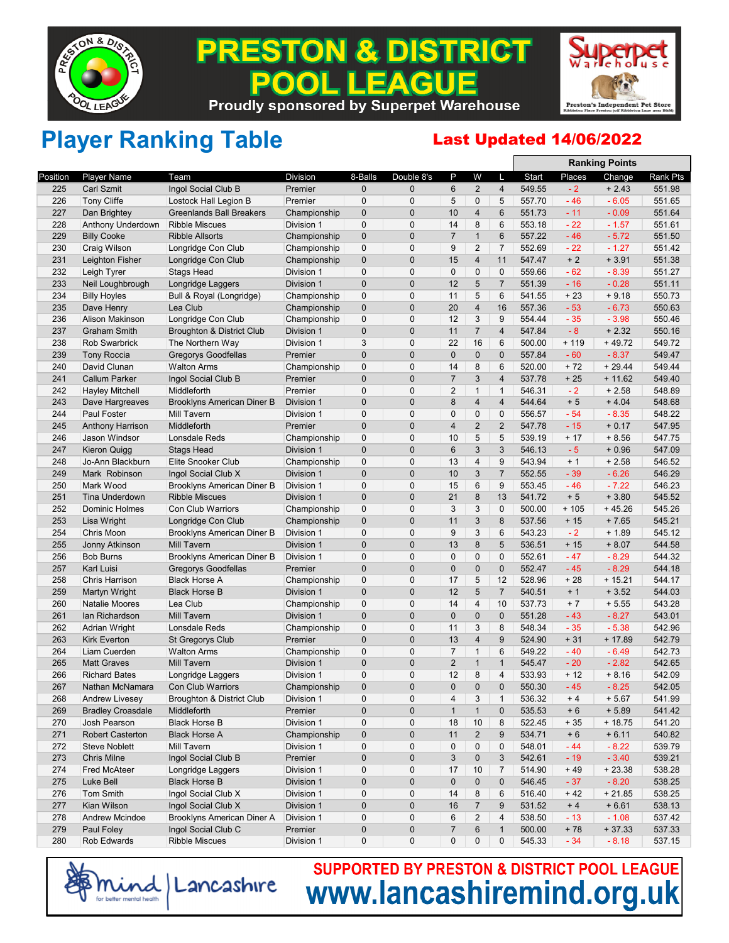

### **& DISTRICT** PREST ON EACUE  $\bullet$ **Proudly sponsored by Superpet Warehouse**



## Player Ranking Table **Last Updated 14/06/2022**

|          |                          |                                      |                 |              |                |                |                         |                         |        |        | <b>Ranking Points</b> |          |
|----------|--------------------------|--------------------------------------|-----------------|--------------|----------------|----------------|-------------------------|-------------------------|--------|--------|-----------------------|----------|
| Position | <b>Player Name</b>       | Team                                 | <b>Division</b> | 8-Balls      | Double 8's     | P              | W                       | L                       | Start  | Places | Change                | Rank Pts |
| 225      | <b>Carl Szmit</b>        | Ingol Social Club B                  | Premier         | $\mathbf 0$  | $\mathbf{0}$   | 6              | $\overline{2}$          | $\overline{\mathbf{4}}$ | 549.55 | $-2$   | $+2.43$               | 551.98   |
| 226      | <b>Tony Cliffe</b>       | Lostock Hall Legion B                | Premier         | $\mathbf 0$  | $\mathbf 0$    | 5              | 0                       | 5                       | 557.70 | $-46$  | $-6.05$               | 551.65   |
| 227      | Dan Brightey             | Greenlands Ball Breakers             | Championship    | $\mathbf 0$  | $\mathbf 0$    | 10             | $\overline{\mathbf{4}}$ | 6                       | 551.73 | $-11$  | $-0.09$               | 551.64   |
| 228      | Anthony Underdown        | <b>Ribble Miscues</b>                | Division 1      | 0            | $\mathbf 0$    | 14             | 8                       | 6                       | 553.18 | $-22$  | $-1.57$               | 551.61   |
| 229      | <b>Billy Cooke</b>       | <b>Ribble Allsorts</b>               | Championship    | $\mathbf 0$  | $\mathbf 0$    | $\overline{7}$ | $\mathbf{1}$            | 6                       | 557.22 | $-46$  | $-5.72$               | 551.50   |
| 230      | Craig Wilson             | Longridge Con Club                   | Championship    | 0            | $\mathbf 0$    | 9              | $\overline{2}$          | $\overline{7}$          | 552.69 | $-22$  | $-1.27$               | 551.42   |
| 231      | Leighton Fisher          | Longridge Con Club                   | Championship    | $\mathbf 0$  | $\pmb{0}$      | 15             | $\overline{\mathbf{4}}$ | 11                      | 547.47 | $+2$   | $+3.91$               | 551.38   |
| 232      | Leigh Tyrer              | Stags Head                           | Division 1      | $\mathbf 0$  | $\mathbf 0$    | 0              | $\mathbf{0}$            | $\mathbf 0$             | 559.66 | $-62$  | $-8.39$               | 551.27   |
| 233      | Neil Loughbrough         | Longridge Laggers                    | Division 1      | $\mathbf 0$  | $\mathbf 0$    | 12             | 5                       | $\overline{7}$          | 551.39 | $-16$  | $-0.28$               | 551.11   |
| 234      | <b>Billy Hoyles</b>      | Bull & Royal (Longridge)             | Championship    | $\mathbf 0$  | 0              | 11             | 5                       | 6                       | 541.55 | $+23$  | $+9.18$               | 550.73   |
| 235      | Dave Henry               | Lea Club                             | Championship    | 0            | $\mathbf 0$    | 20             | $\overline{\mathbf{4}}$ | 16                      | 557.36 | $-53$  | $-6.73$               | 550.63   |
| 236      | <b>Alison Makinson</b>   | Longridge Con Club                   | Championship    | $\mathbf 0$  | $\mathbf 0$    | 12             | 3                       | 9                       | 554.44 | $-35$  | $-3.98$               | 550.46   |
| 237      | <b>Graham Smith</b>      | <b>Broughton &amp; District Club</b> | Division 1      | $\mathbf 0$  | $\pmb{0}$      | 11             | $\overline{7}$          | $\overline{4}$          | 547.84 | $-8$   | $+2.32$               | 550.16   |
| 238      | <b>Rob Swarbrick</b>     | The Northern Way                     | Division 1      | 3            | $\mathbf 0$    | 22             | 16                      | 6                       | 500.00 | $+119$ | $+49.72$              | 549.72   |
| 239      | <b>Tony Roccia</b>       | Gregorys Goodfellas                  | Premier         | $\mathbf 0$  | $\overline{0}$ | $\overline{0}$ | $\mathbf 0$             | $\mathbf 0$             | 557.84 | $-60$  | $-8.37$               | 549.47   |
| 240      | David Clunan             | <b>Walton Arms</b>                   | Championship    | 0            | 0              | 14             | 8                       | 6                       | 520.00 | $+72$  | $+29.44$              | 549.44   |
| 241      | <b>Callum Parker</b>     | Ingol Social Club B                  | Premier         | $\mathbf 0$  | $\overline{0}$ | $\overline{7}$ | 3                       | $\overline{4}$          | 537.78 | $+25$  | $+11.62$              | 549.40   |
| 242      | <b>Hayley Mitchell</b>   | Middleforth                          | Premier         | 0            | $\mathbf 0$    | $\overline{2}$ | $\mathbf{1}$            | $\mathbf{1}$            | 546.31 | $-2$   | $+2.58$               | 548.89   |
| 243      | Dave Hargreaves          | <b>Brooklyns American Diner B</b>    | Division 1      | $\pmb{0}$    | $\pmb{0}$      | 8              | $\overline{\mathbf{4}}$ | $\overline{\mathbf{4}}$ | 544.64 | $+5$   | $+4.04$               | 548.68   |
| 244      | <b>Paul Foster</b>       | <b>Mill Tavern</b>                   | Division 1      | $\mathbf 0$  | $\mathbf 0$    | 0              | 0                       | 0                       | 556.57 | $-54$  | $-8.35$               | 548.22   |
| 245      | <b>Anthony Harrison</b>  | Middleforth                          | Premier         | $\mathbf 0$  | $\mathbf{0}$   | $\overline{4}$ | $\overline{2}$          | $\overline{2}$          | 547.78 | $-15$  | $+0.17$               | 547.95   |
| 246      | Jason Windsor            | Lonsdale Reds                        | Championship    | $\pmb{0}$    | 0              | 10             | 5                       | 5                       | 539.19 | $+17$  | $+8.56$               | 547.75   |
| 247      | Kieron Quigg             | <b>Stags Head</b>                    | Division 1      | $\pmb{0}$    | $\mathbf{0}$   | 6              | 3                       | 3                       | 546.13 | $-5$   | $+0.96$               | 547.09   |
| 248      | Jo-Ann Blackburn         | Elite Snooker Club                   | Championship    | $\mathbf 0$  | $\mathbf 0$    | 13             | 4                       | 9                       | 543.94 | $+1$   | $+2.58$               | 546.52   |
| 249      | Mark Robinson            | Ingol Social Club X                  | Division 1      | $\pmb{0}$    | $\pmb{0}$      | 10             | 3                       | $\overline{7}$          | 552.55 | $-39$  | $-6.26$               | 546.29   |
| 250      | Mark Wood                | Brooklyns American Diner B           | Division 1      | 0            | $\mathbf 0$    | 15             | 6                       | 9                       | 553.45 | $-46$  | $-7.22$               | 546.23   |
| 251      | <b>Tina Underdown</b>    | <b>Ribble Miscues</b>                | Division 1      | $\mathbf 0$  | $\mathbf{0}$   | 21             | 8                       | 13                      | 541.72 | $+5$   | $+3.80$               | 545.52   |
| 252      | Dominic Holmes           | Con Club Warriors                    | Championship    | $\mathbf 0$  | $\mathbf 0$    | 3              | 3                       | $\mathbf 0$             | 500.00 | $+105$ | $+45.26$              | 545.26   |
| 253      | Lisa Wright              | Longridge Con Club                   | Championship    | $\mathbf 0$  | $\mathbf 0$    | 11             | $\mathfrak{S}$          | 8                       | 537.56 | $+15$  | $+7.65$               | 545.21   |
| 254      | Chris Moon               | Brooklyns American Diner B           | Division 1      | $\mathbf 0$  | $\mathbf 0$    | 9              | 3                       | 6                       | 543.23 | $-2$   | $+1.89$               | 545.12   |
| 255      | Jonny Atkinson           | <b>Mill Tavern</b>                   | Division 1      | $\mathbf 0$  | $\pmb{0}$      | 13             | 8                       | 5                       | 536.51 | $+15$  | $+8.07$               | 544.58   |
| 256      | <b>Bob Burns</b>         | <b>Brooklyns American Diner B</b>    | Division 1      | $\mathbf 0$  | $\mathbf 0$    | $\mathbf 0$    | 0                       | 0                       | 552.61 | $-47$  | $-8.29$               | 544.32   |
| 257      | <b>Karl Luisi</b>        | Gregorys Goodfellas                  | Premier         | $\mathbf 0$  | $\mathbf 0$    | $\mathbf 0$    | $\mathbf 0$             | $\mathbf 0$             | 552.47 | $-45$  | $-8.29$               | 544.18   |
| 258      | Chris Harrison           | <b>Black Horse A</b>                 | Championship    | 0            | $\mathbf 0$    | 17             | 5                       | 12                      | 528.96 | $+28$  | $+15.21$              | 544.17   |
| 259      | Martyn Wright            | <b>Black Horse B</b>                 | Division 1      | $\mathbf 0$  | $\mathbf 0$    | 12             | 5                       | $\overline{7}$          | 540.51 | $+1$   | $+3.52$               | 544.03   |
| 260      | <b>Natalie Moores</b>    | Lea Club                             | Championship    | $\mathbf 0$  | $\mathbf 0$    | 14             | 4                       | 10                      | 537.73 | $+7$   | $+5.55$               | 543.28   |
| 261      | lan Richardson           | <b>Mill Tavern</b>                   | Division 1      | $\mathbf{0}$ | $\pmb{0}$      | $\mathbf 0$    | $\mathbf 0$             | $\pmb{0}$               | 551.28 | $-43$  | $-8.27$               | 543.01   |
| 262      | Adrian Wright            | Lonsdale Reds                        | Championship    | 0            | $\mathbf 0$    | 11             | 3                       | 8                       | 548.34 | $-35$  | $-5.38$               | 542.96   |
| 263      | <b>Kirk Everton</b>      | <b>St Gregorys Club</b>              | Premier         | $\pmb{0}$    | $\mathbf 0$    | 13             | $\overline{\mathbf{4}}$ | $9\,$                   | 524.90 | $+31$  | $+17.89$              | 542.79   |
| 264      | Liam Cuerden             | <b>Walton Arms</b>                   | Championship    | 0            | $\mathbf 0$    | $\overline{7}$ | $\mathbf{1}$            | 6                       | 549.22 | $-40$  | $-6.49$               | 542.73   |
| 265      | <b>Matt Graves</b>       | <b>Mill Tavern</b>                   | Division 1      | 0            | $\mathbf 0$    | $\overline{2}$ | $\mathbf{1}$            | $\mathbf{1}$            | 545.47 | $-20$  | $-2.82$               | 542.65   |
| 266      | <b>Richard Bates</b>     | Longridge Laggers                    | Division 1      | $\mathbf 0$  | 0              | 12             | 8                       | 4                       | 533.93 | $+12$  | $+8.16$               | 542.09   |
| 267      | Nathan McNamara          | <b>Con Club Warriors</b>             | Championship    | 0            | 0              | $\overline{0}$ | $\overline{0}$          | $\mathbf{0}$            | 550.30 | $-45$  | $-8.25$               | 542.05   |
| 268      | <b>Andrew Livesey</b>    | Broughton & District Club            | Division 1      | 0            | 0              | 4              | 3                       | $\mathbf{1}$            | 536.32 | $+4$   | $+5.67$               | 541.99   |
| 269      | <b>Bradley Croasdale</b> | Middleforth                          | Premier         | 0            | $\mathbf 0$    | $\mathbf{1}$   | $\mathbf{1}$            | $\pmb{0}$               | 535.53 | $+6$   | $+ 5.89$              | 541.42   |
| 270      | Josh Pearson             | <b>Black Horse B</b>                 | Division 1      | 0            | 0              | 18             | 10                      | 8                       | 522.45 | $+35$  | $+18.75$              | 541.20   |
| 271      | <b>Robert Casterton</b>  | <b>Black Horse A</b>                 | Championship    | $\pmb{0}$    | $\mathbf 0$    | 11             | $\overline{2}$          | 9                       | 534.71 | $+6$   | $+6.11$               | 540.82   |
| 272      | <b>Steve Noblett</b>     | Mill Tavern                          | Division 1      | 0            | 0              | 0              | 0                       | 0                       | 548.01 | $-44$  | $-8.22$               | 539.79   |
| 273      | <b>Chris Milne</b>       | Ingol Social Club B                  | Premier         | $\mathbf 0$  | $\mathbf 0$    | 3              | 0                       | 3                       | 542.61 | $-19$  | $-3.40$               | 539.21   |
| 274      | Fred McAteer             | Longridge Laggers                    | Division 1      | 0            | 0              | 17             | 10                      | $\overline{7}$          | 514.90 | $+49$  | $+23.38$              | 538.28   |
| 275      | Luke Bell                | <b>Black Horse B</b>                 | Division 1      | $\pmb{0}$    | $\pmb{0}$      | $\pmb{0}$      | 0                       | $\mathbf 0$             | 546.45 | $-37$  | $-8.20$               | 538.25   |
| 276      | <b>Tom Smith</b>         | Ingol Social Club X                  | Division 1      | 0            | 0              | 14             | 8                       | 6                       | 516.40 | $+42$  | $+21.85$              | 538.25   |
| 277      | Kian Wilson              | Ingol Social Club X                  | Division 1      | $\pmb{0}$    | $\mathbf 0$    | 16             | $\overline{7}$          | 9                       | 531.52 | $+4$   | $+6.61$               | 538.13   |
| 278      | <b>Andrew Mcindoe</b>    | Brooklyns American Diner A           | Division 1      | $\pmb{0}$    | 0              | 6              | $\overline{c}$          | 4                       | 538.50 | $-13$  | $-1.08$               | 537.42   |
| 279      | Paul Foley               | Ingol Social Club C                  | Premier         | $\pmb{0}$    | $\pmb{0}$      | $\overline{7}$ | 6                       | $\mathbf{1}$            | 500.00 | $+78$  | $+37.33$              | 537.33   |
| 280      | Rob Edwards              | <b>Ribble Miscues</b>                | Division 1      | 0            | 0              | 0              | 0                       | 0                       | 545.33 | $-34$  | $-8.18$               | 537.15   |
|          |                          |                                      |                 |              |                |                |                         |                         |        |        |                       |          |

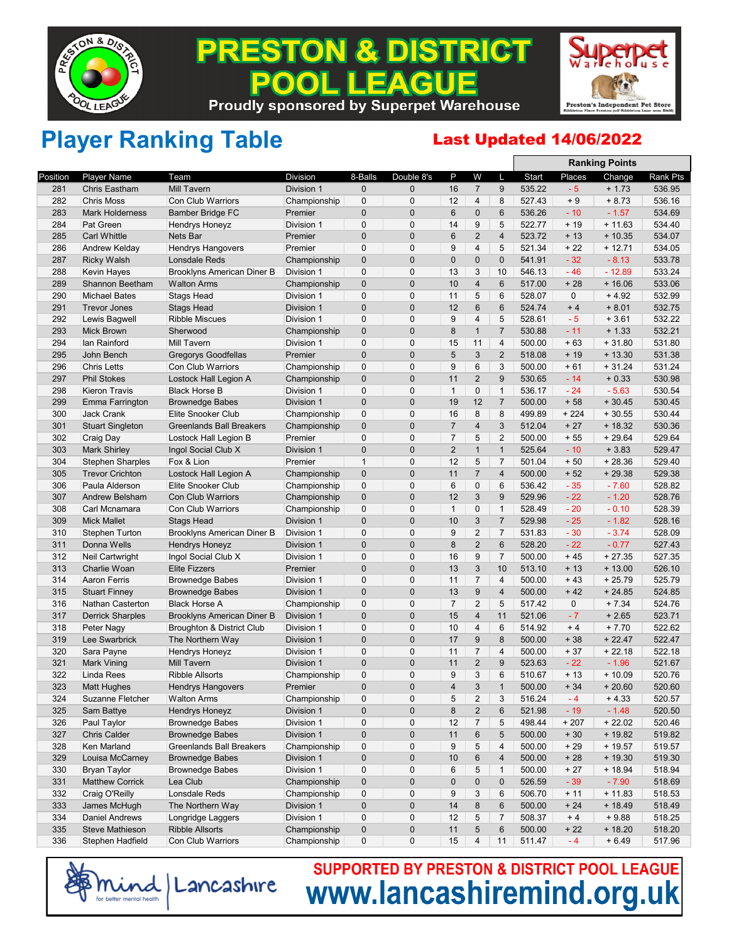

### **& DISTRICT** PREST ON **EAGUE**  $\bullet$ **Proudly sponsored by Superpet Warehouse**



**Ranking Points**

## Player Ranking Table **Last Updated 14/06/2022**

|          |                         |                                      |              |              |                |                |                |                |        |             | <b>Ranking Points</b> |          |
|----------|-------------------------|--------------------------------------|--------------|--------------|----------------|----------------|----------------|----------------|--------|-------------|-----------------------|----------|
| Position | <b>Player Name</b>      | Team                                 | Division     | 8-Balls      | Double 8's     | P              | W              | L              | Start  | Places      | Change                | Rank Pts |
| 281      | <b>Chris Eastham</b>    | <b>Mill Tavern</b>                   | Division 1   | 0            | $\overline{0}$ | 16             | $\overline{7}$ | 9              | 535.22 | $-5$        | $+1.73$               | 536.95   |
| 282      | <b>Chris Moss</b>       | <b>Con Club Warriors</b>             | Championship | $\mathbf{0}$ | $\mathbf 0$    | 12             | 4              | 8              | 527.43 | $+9$        | $+8.73$               | 536.16   |
| 283      | <b>Mark Holderness</b>  | <b>Bamber Bridge FC</b>              | Premier      | $\mathbf{0}$ | $\mathbf 0$    | 6              | $\mathbf 0$    | 6              | 536.26 | $-10$       | $-1.57$               | 534.69   |
| 284      | Pat Green               | <b>Hendrys Honeyz</b>                | Division 1   | $\mathbf 0$  | $\mathbf 0$    | 14             | 9              | 5              | 522.77 | $+19$       | $+11.63$              | 534.40   |
| 285      | <b>Carl Whittle</b>     | Nets Bar                             | Premier      | $\mathbf{0}$ | $\mathbf 0$    | 6              | $\overline{2}$ | 4              | 523.72 | $+13$       | $+10.35$              | 534.07   |
| 286      | Andrew Kelday           | Hendrys Hangovers                    | Premier      | $\mathbf 0$  | 0              | 9              | $\overline{4}$ | 5              | 521.34 | $+22$       | $+12.71$              | 534.05   |
| 287      | <b>Ricky Walsh</b>      | <b>Lonsdale Reds</b>                 | Championship | $\mathbf{0}$ | $\mathbf 0$    | 0              | $\mathbf 0$    | $\mathbf 0$    | 541.91 | $-32$       | $-8.13$               | 533.78   |
| 288      | Kevin Hayes             | Brooklyns American Diner B           | Division 1   | $\mathbf{0}$ | $\mathbf 0$    | 13             | 3              | 10             | 546.13 | $-46$       | $-12.89$              | 533.24   |
| 289      | Shannon Beetham         | <b>Walton Arms</b>                   | Championship | $\mathbf{0}$ | $\mathbf 0$    | 10             | $\overline{4}$ | 6              | 517.00 | $+28$       | $+16.06$              | 533.06   |
| 290      | <b>Michael Bates</b>    | <b>Stags Head</b>                    | Division 1   | $\mathbf 0$  | 0              | 11             | 5              | 6              | 528.07 | 0           | $+4.92$               | 532.99   |
| 291      | <b>Trevor Jones</b>     | <b>Stags Head</b>                    | Division 1   | $\mathbf{0}$ | $\mathbf 0$    | 12             | $6\phantom{1}$ | 6              | 524.74 | $+4$        | $+8.01$               | 532.75   |
| 292      | Lewis Bagwell           | <b>Ribble Miscues</b>                | Division 1   | $\mathbf 0$  | $\mathbf 0$    | 9              | $\overline{4}$ | 5              | 528.61 | $-5$        | $+3.61$               | 532.22   |
| 293      | <b>Mick Brown</b>       | Sherwood                             | Championship | $\mathbf{0}$ | $\mathbf 0$    | 8              | $\mathbf{1}$   | $\overline{7}$ | 530.88 | $-11$       | $+1.33$               | 532.21   |
| 294      | lan Rainford            | <b>Mill Tavern</b>                   | Division 1   | $\mathbf 0$  | $\mathbf 0$    | 15             | 11             | 4              | 500.00 | $+63$       | $+31.80$              | 531.80   |
| 295      | John Bench              | <b>Gregorys Goodfellas</b>           | Premier      | $\mathbf 0$  | $\mathbf 0$    | 5              | $\sqrt{3}$     | $\overline{2}$ | 518.08 | $+19$       | $+13.30$              | 531.38   |
| 296      | <b>Chris Letts</b>      | Con Club Warriors                    | Championship | $\mathbf 0$  | $\mathbf 0$    | 9              | 6              | 3              | 500.00 | $+61$       | $+31.24$              | 531.24   |
| 297      | <b>Phil Stokes</b>      | Lostock Hall Legion A                | Championship | $\mathbf{0}$ | $\mathbf 0$    | 11             | $\overline{2}$ | 9              | 530.65 | $-14$       | $+0.33$               | 530.98   |
|          |                         |                                      |              | $\mathbf 0$  | 0              | $\mathbf{1}$   | $\mathbf 0$    | $\mathbf{1}$   | 536.17 | $-24$       | $-5.63$               | 530.54   |
| 298      | <b>Kieron Travis</b>    | <b>Black Horse B</b>                 | Division 1   |              | $\mathbf 0$    |                |                |                |        |             |                       | 530.45   |
| 299      | Emma Farrington         | <b>Brownedge Babes</b>               | Division 1   | $\mathbf 0$  |                | 19             | 12             | $\overline{7}$ | 500.00 | $+58$       | $+30.45$              |          |
| 300      | <b>Jack Crank</b>       | Elite Snooker Club                   | Championship | $\mathbf 0$  | $\mathbf 0$    | 16             | 8              | 8              | 499.89 | $+224$      | $+30.55$              | 530.44   |
| 301      | <b>Stuart Singleton</b> | <b>Greenlands Ball Breakers</b>      | Championship | $\mathbf{0}$ | $\mathbf 0$    | $\overline{7}$ | $\overline{4}$ | 3              | 512.04 | $+27$       | $+18.32$              | 530.36   |
| 302      | Craig Day               | Lostock Hall Legion B                | Premier      | $\mathbf 0$  | 0              | $\overline{7}$ | 5              | $\overline{2}$ | 500.00 | $+55$       | $+29.64$              | 529.64   |
| 303      | <b>Mark Shirley</b>     | Ingol Social Club X                  | Division 1   | $\mathbf 0$  | $\mathbf 0$    | $\overline{2}$ | $\mathbf{1}$   | $\mathbf{1}$   | 525.64 | $-10$       | $+3.83$               | 529.47   |
| 304      | <b>Stephen Sharples</b> | Fox & Lion                           | Premier      | $\mathbf{1}$ | $\mathbf 0$    | 12             | 5              | $\overline{7}$ | 501.04 | $+50$       | $+28.36$              | 529.40   |
| 305      | <b>Trevor Crichton</b>  | Lostock Hall Legion A                | Championship | $\mathbf{0}$ | $\mathbf 0$    | 11             | $\overline{7}$ | 4              | 500.00 | $+52$       | $+29.38$              | 529.38   |
| 306      | Paula Alderson          | Elite Snooker Club                   | Championship | $\mathbf 0$  | $\mathbf 0$    | $6\phantom{1}$ | $\pmb{0}$      | 6              | 536.42 | $-35$       | $-7.60$               | 528.82   |
| 307      | <b>Andrew Belsham</b>   | Con Club Warriors                    | Championship | $\mathbf{0}$ | $\mathbf 0$    | 12             | 3              | 9              | 529.96 | $-22$       | $-1.20$               | 528.76   |
| 308      | Carl Mcnamara           | <b>Con Club Warriors</b>             | Championship | $\mathbf 0$  | 0              | $\mathbf{1}$   | $\pmb{0}$      | $\mathbf{1}$   | 528.49 | $-20$       | $-0.10$               | 528.39   |
| 309      | <b>Mick Mallet</b>      | <b>Stags Head</b>                    | Division 1   | $\mathbf 0$  | $\mathbf 0$    | 10             | $\sqrt{3}$     | $\overline{7}$ | 529.98 | $-25$       | $-1.82$               | 528.16   |
| 310      | <b>Stephen Turton</b>   | <b>Brooklyns American Diner B</b>    | Division 1   | $\mathbf{0}$ | 0              | 9              | $\overline{2}$ | $\overline{7}$ | 531.83 | $-30$       | $-3.74$               | 528.09   |
| 311      | Donna Wells             | <b>Hendrys Honeyz</b>                | Division 1   | $\mathbf 0$  | $\mathbf 0$    | 8              | $\overline{2}$ | 6              | 528.20 | $-22$       | $-0.77$               | 527.43   |
| 312      | Neil Cartwright         | Ingol Social Club X                  | Division 1   | $\mathbf{0}$ | $\mathbf 0$    | 16             | 9              | $\overline{7}$ | 500.00 | $+45$       | $+27.35$              | 527.35   |
| 313      | Charlie Woan            | <b>Elite Fizzers</b>                 | Premier      | $\mathbf 0$  | $\mathbf 0$    | 13             | 3              | 10             | 513.10 | $+13$       | $+13.00$              | 526.10   |
| 314      | <b>Aaron Ferris</b>     | <b>Brownedge Babes</b>               | Division 1   | $\mathbf{0}$ | $\mathbf 0$    | 11             | $\overline{7}$ | 4              | 500.00 | $+43$       | $+25.79$              | 525.79   |
| 315      | <b>Stuart Finney</b>    | <b>Brownedge Babes</b>               | Division 1   | $\mathbf 0$  | $\mathbf 0$    | 13             | 9              | 4              | 500.00 | $+42$       | $+24.85$              | 524.85   |
| 316      | <b>Nathan Casterton</b> | <b>Black Horse A</b>                 | Championship | $\mathbf{0}$ | $\mathbf 0$    | $\overline{7}$ | $\overline{2}$ | 5              | 517.42 | $\mathbf 0$ | $+7.34$               | 524.76   |
| 317      | <b>Derrick Sharples</b> | Brooklyns American Diner B           | Division 1   | $\mathbf 0$  | $\mathbf 0$    | 15             | $\overline{4}$ | 11             | 521.06 | $-7$        | $+2.65$               | 523.71   |
| 318      | Peter Nagy              | <b>Broughton &amp; District Club</b> | Division 1   | $\mathbf{0}$ | $\mathbf 0$    | 10             | $\overline{4}$ | 6              | 514.92 | $+4$        | $+7.70$               | 522.62   |
| 319      | Lee Swarbrick           | The Northern Way                     | Division 1   | $\mathbf{0}$ | $\mathbf 0$    | 17             | 9              | 8              | 500.00 | $+38$       | $+22.47$              | 522.47   |
| 320      | Sara Payne              | Hendrys Honeyz                       | Division 1   | $\mathbf 0$  | 0              | 11             | $\overline{7}$ | 4              | 500.00 | $+37$       | $+22.18$              | 522.18   |
| 321      | Mark Vining             | Mill Tavern                          | Division 1   | $\mathbf 0$  | $\mathbf 0$    | 11             | $\overline{2}$ | 9              | 523.63 | $-22$       | $-1.96$               | 521.67   |
| 322      | Linda Rees              | <b>Ribble Allsorts</b>               | Championship | $\mathbf 0$  | $\mathbf 0$    | 9              | 3              | 6              | 510.67 | $+13$       | $+10.09$              | 520.76   |
| 323      | Matt Hughes             | <b>Hendrys Hangovers</b>             | Premier      | $\mathbf 0$  | $\Omega$       | 4              | 3              | $\mathbf{1}$   | 500.00 | $+34$       | $+20.60$              | 520.60   |
| 324      | Suzanne Fletcher        | Walton Arms                          | Championship | 0            | 0              | 5              | 2              | 3              | 516.24 | - 4         | $+4.33$               | 520.57   |
| 325      | Sam Battye              | <b>Hendrys Honeyz</b>                | Division 1   | $\pmb{0}$    | $\mathbf 0$    | 8              | $\overline{2}$ | 6              | 521.98 | $-19$       | $-1.48$               | 520.50   |
| 326      | Paul Taylor             | <b>Brownedge Babes</b>               | Division 1   | $\pmb{0}$    | 0              | 12             | $\overline{7}$ | 5              | 498.44 | $+207$      | $+22.02$              | 520.46   |
| 327      | <b>Chris Calder</b>     | <b>Brownedge Babes</b>               | Division 1   | $\pmb{0}$    | $\pmb{0}$      | 11             | $\,6$          | 5              | 500.00 | $+30$       | $+19.82$              | 519.82   |
| 328      | Ken Marland             | <b>Greenlands Ball Breakers</b>      | Championship | $\mathbf 0$  | 0              | 9              | 5              | 4              | 500.00 | $+29$       | $+19.57$              | 519.57   |
| 329      | Louisa McCarney         | <b>Brownedge Babes</b>               | Division 1   | $\pmb{0}$    | $\mathbf 0$    | 10             | 6              | 4              | 500.00 | $+28$       | $+19.30$              | 519.30   |
| 330      | <b>Bryan Taylor</b>     | <b>Brownedge Babes</b>               | Division 1   | $\mathbf 0$  | 0              | 6              | 5              | $\mathbf{1}$   | 500.00 | $+27$       | $+18.94$              | 518.94   |
| 331      | <b>Matthew Corrick</b>  | Lea Club                             | Championship | $\pmb{0}$    | $\mathbf 0$    | 0              | $\mathbf 0$    | 0              | 526.59 | $-39$       | $-7.90$               | 518.69   |
| 332      | Craig O'Reilly          | Lonsdale Reds                        | Championship | $\mathbf 0$  | $\mathbf 0$    | 9              | 3              | 6              | 506.70 | $+11$       | $+11.83$              | 518.53   |
| 333      | James McHugh            | The Northern Way                     | Division 1   | $\pmb{0}$    | $\pmb{0}$      | 14             | $\bf 8$        | 6              | 500.00 | $+24$       | $+18.49$              | 518.49   |
| 334      | <b>Daniel Andrews</b>   | Longridge Laggers                    | Division 1   | $\mathbf 0$  | 0              | 12             | 5              | 7              | 508.37 | $+4$        | $+9.88$               | 518.25   |
| 335      | Steve Mathieson         | <b>Ribble Allsorts</b>               | Championship | $\pmb{0}$    | $\pmb{0}$      | 11             | 5              | 6              | 500.00 | $+22$       | $+18.20$              | 518.20   |
| 336      | Stephen Hadfield        | Con Club Warriors                    | Championship | 0            | 0              | 15             | 4              | 11             | 511.47 | $-4$        | $+6.49$               | 517.96   |
|          |                         |                                      |              |              |                |                |                |                |        |             |                       |          |

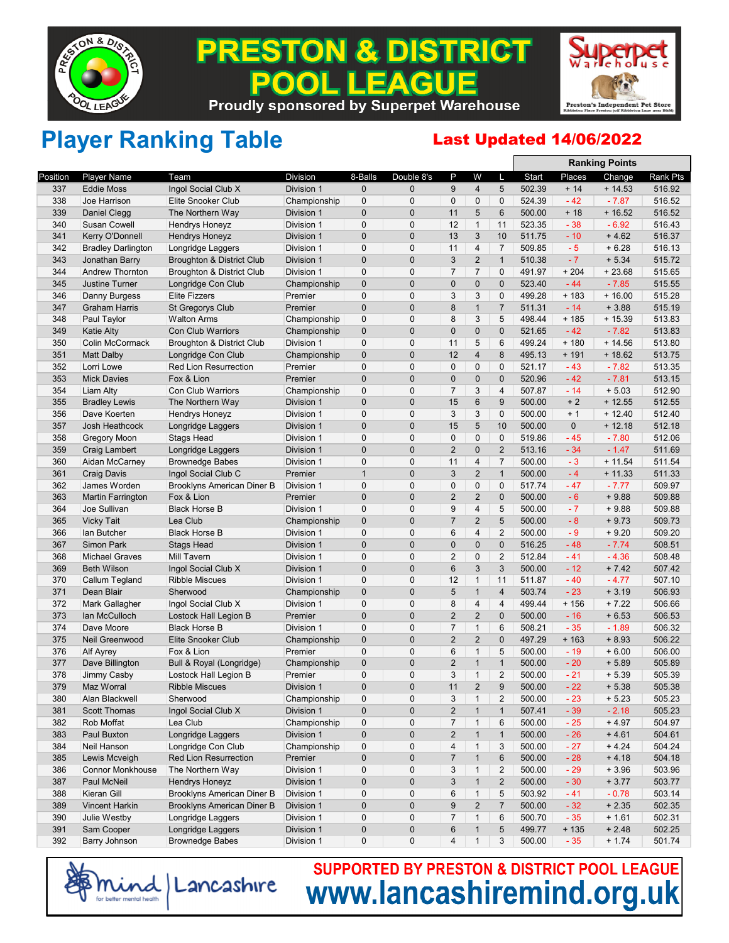

### **& DISTRICT** PREST ON **EAGUE Proudly sponsored by Superpet Warehouse**



**Ranking Points**

## Player Ranking Table **Last Updated 14/06/2022**

|          |                           |                                   |                          |              |                |                         |                         |                |        |        | nanning rums |          |
|----------|---------------------------|-----------------------------------|--------------------------|--------------|----------------|-------------------------|-------------------------|----------------|--------|--------|--------------|----------|
| Position | <b>Player Name</b>        | Team                              | <b>Division</b>          | 8-Balls      | Double 8's     | P                       | W                       | L              | Start  | Places | Change       | Rank Pts |
| 337      | <b>Eddie Moss</b>         | Ingol Social Club X               | Division 1               | 0            | $\mathbf{0}$   | 9                       | $\overline{4}$          | 5              | 502.39 | $+14$  | $+14.53$     | 516.92   |
| 338      | Joe Harrison              | <b>Elite Snooker Club</b>         | Championship             | 0            | $\mathbf 0$    | $\mathbf 0$             | $\mathbf 0$             | 0              | 524.39 | $-42$  | $-7.87$      | 516.52   |
| 339      | Daniel Clegg              | The Northern Way                  | Division 1               | 0            | 0              | 11                      | 5                       | 6              | 500.00 | $+18$  | $+16.52$     | 516.52   |
| 340      | <b>Susan Cowell</b>       | <b>Hendrys Honeyz</b>             | Division 1               | $\mathbf 0$  | 0              | 12                      | $\mathbf{1}$            | 11             | 523.35 | $-38$  | $-6.92$      | 516.43   |
| 341      | Kerry O'Donnell           | <b>Hendrys Honeyz</b>             | Division 1               | $\pmb{0}$    | $\mathbf 0$    | 13                      | 3                       | 10             | 511.75 | $-10$  | $+4.62$      | 516.37   |
| 342      | <b>Bradley Darlington</b> | Longridge Laggers                 | Division 1               | $\mathbf 0$  | 0              | 11                      | 4                       | $\overline{7}$ | 509.85 | $-5$   | $+6.28$      | 516.13   |
| 343      | Jonathan Barry            | Broughton & District Club         | Division 1               | $\mathbf 0$  | $\mathbf 0$    | 3                       | $\overline{2}$          | $\mathbf{1}$   | 510.38 | $-7$   | $+ 5.34$     | 515.72   |
| 344      | <b>Andrew Thornton</b>    | Broughton & District Club         | Division 1               | 0            | $\mathbf 0$    | $\overline{7}$          | $\overline{7}$          | 0              | 491.97 | $+204$ | $+23.68$     | 515.65   |
| 345      | <b>Justine Turner</b>     | Longridge Con Club                | Championship             | $\mathbf 0$  | 0              | 0                       | 0                       | $\mathbf{0}$   | 523.40 | $-44$  | $-7.85$      | 515.55   |
| 346      | Danny Burgess             | <b>Elite Fizzers</b>              | Premier                  | 0            | $\mathbf 0$    | 3                       | 3                       | 0              | 499.28 | $+183$ | $+16.00$     | 515.28   |
| 347      | Graham Harris             | <b>St Gregorys Club</b>           | Premier                  | $\mathbf 0$  | $\mathbf 0$    | 8                       | $\mathbf{1}$            | $\overline{7}$ | 511.31 | $-14$  | $+3.88$      | 515.19   |
| 348      | Paul Taylor               | <b>Walton Arms</b>                | Championship             | $\mathbf 0$  | $\mathbf 0$    | 8                       | 3                       | 5              | 498.44 | $+185$ | $+15.39$     | 513.83   |
| 349      | <b>Katie Alty</b>         | <b>Con Club Warriors</b>          | Championship             | $\mathbf 0$  | $\mathbf{0}$   | 0                       | $\mathbf 0$             | 0              | 521.65 | $-42$  | $-7.82$      | 513.83   |
| 350      | Colin McCormack           | Broughton & District Club         | Division 1               | $\mathbf 0$  | 0              | 11                      | 5                       | 6              | 499.24 | $+180$ | $+14.56$     | 513.80   |
| 351      | <b>Matt Dalby</b>         | Longridge Con Club                | Championship             | $\mathbf 0$  | $\mathbf 0$    | 12                      | $\overline{\mathbf{4}}$ | 8              | 495.13 | $+191$ | $+18.62$     | 513.75   |
| 352      | Lorri Lowe                | <b>Red Lion Resurrection</b>      | Premier                  | 0            | $\mathbf 0$    | $\mathbf 0$             | 0                       | 0              | 521.17 | $-43$  | $-7.82$      | 513.35   |
| 353      | <b>Mick Davies</b>        | Fox & Lion                        | Premier                  | $\mathbf 0$  | $\overline{0}$ | $\mathbf 0$             | $\mathbf 0$             | $\mathbf 0$    | 520.96 | $-42$  | $-7.81$      | 513.15   |
| 354      | Liam Alty                 | <b>Con Club Warriors</b>          | Championship             | $\mathbf 0$  | $\mathbf 0$    | $\overline{7}$          | 3                       | $\overline{4}$ | 507.87 | $-14$  | $+5.03$      | 512.90   |
| 355      | <b>Bradley Lewis</b>      | The Northern Way                  | Division 1               | 0            | $\mathbf{0}$   | 15                      | $6\phantom{1}$          | 9              | 500.00 | $+2$   | $+12.55$     | 512.55   |
| 356      | Dave Koerten              | <b>Hendrys Honeyz</b>             | Division 1               | $\mathbf 0$  | $\mathbf 0$    | 3                       | 3                       | 0              | 500.00 | $+1$   | $+12.40$     | 512.40   |
| 357      | Josh Heathcock            | Longridge Laggers                 | Division 1               | $\mathbf 0$  | $\mathbf 0$    | 15                      | 5                       | 10             | 500.00 | 0      | $+12.18$     | 512.18   |
| 358      | <b>Gregory Moon</b>       | <b>Stags Head</b>                 | Division 1               | $\mathbf 0$  | $\mathbf 0$    | $\mathbf 0$             | 0                       | $\mathbf 0$    | 519.86 | $-45$  | $-7.80$      | 512.06   |
| 359      |                           |                                   |                          | $\pmb{0}$    | 0              | $\overline{2}$          | $\mathbf 0$             | $\overline{2}$ | 513.16 | $-34$  |              | 511.69   |
|          | Craig Lambert             | Longridge Laggers                 | Division 1<br>Division 1 | $\mathbf 0$  | $\mathbf 0$    | 11                      |                         | $\overline{7}$ |        |        | $-1.47$      |          |
| 360      | Aidan McCarney            | <b>Brownedge Babes</b>            |                          |              |                |                         | 4                       |                | 500.00 | $-3$   | $+11.54$     | 511.54   |
| 361      | <b>Craig Davis</b>        | Ingol Social Club C               | Premier                  | $\mathbf{1}$ | $\mathbf{0}$   | 3                       | $\overline{2}$          | $\mathbf{1}$   | 500.00 | $-4$   | $+11.33$     | 511.33   |
| 362      | James Worden              | Brooklyns American Diner B        | Division 1               | $\mathbf 0$  | 0              | 0                       | $\mathbf 0$             | 0              | 517.74 | $-47$  | $-7.77$      | 509.97   |
| 363      | <b>Martin Farrington</b>  | Fox & Lion                        | Premier                  | $\mathbf{0}$ | $\overline{0}$ | $\overline{2}$          | $\overline{2}$          | $\mathbf 0$    | 500.00 | $-6$   | $+9.88$      | 509.88   |
| 364      | Joe Sullivan              | <b>Black Horse B</b>              | Division 1               | $\mathbf 0$  | $\mathbf 0$    | 9                       | 4                       | 5              | 500.00 | $-7$   | $+9.88$      | 509.88   |
| 365      | <b>Vicky Tait</b>         | Lea Club                          | Championship             | $\mathbf 0$  | 0              | $\overline{7}$          | $\overline{2}$          | 5              | 500.00 | $-8$   | $+9.73$      | 509.73   |
| 366      | lan Butcher               | <b>Black Horse B</b>              | Division 1               | 0            | $\mathbf 0$    | 6                       | $\overline{4}$          | $\overline{2}$ | 500.00 | $-9$   | $+9.20$      | 509.20   |
| 367      | <b>Simon Park</b>         | <b>Stags Head</b>                 | Division 1               | $\mathbf 0$  | $\mathbf{0}$   | $\mathbf{0}$            | 0                       | 0              | 516.25 | $-48$  | $-7.74$      | 508.51   |
| 368      | <b>Michael Graves</b>     | Mill Tavern                       | Division 1               | 0            | 0              | $\overline{2}$          | 0                       | $\overline{2}$ | 512.84 | $-41$  | $-4.36$      | 508.48   |
| 369      | <b>Beth Wilson</b>        | Ingol Social Club X               | Division 1               | $\mathbf 0$  | $\overline{0}$ | 6                       | 3                       | 3              | 500.00 | $-12$  | $+7.42$      | 507.42   |
| 370      | Callum Tegland            | <b>Ribble Miscues</b>             | Division 1               | $\mathbf 0$  | $\mathbf{0}$   | 12                      | $\mathbf{1}$            | 11             | 511.87 | $-40$  | $-4.77$      | 507.10   |
| 371      | Dean Blair                | Sherwood                          | Championship             | $\mathbf 0$  | 0              | 5                       | $\mathbf{1}$            | $\overline{4}$ | 503.74 | $-23$  | $+3.19$      | 506.93   |
| 372      | Mark Gallagher            | Ingol Social Club X               | Division 1               | $\mathbf 0$  | $\mathbf 0$    | 8                       | $\overline{4}$          | 4              | 499.44 | $+156$ | $+7.22$      | 506.66   |
| 373      | Ian McCulloch             | Lostock Hall Legion B             | Premier                  | $\mathbf 0$  | $\mathbf{0}$   | $\overline{2}$          | $\overline{2}$          | $\mathbf{0}$   | 500.00 | $-16$  | $+6.53$      | 506.53   |
| 374      | Dave Moore                | <b>Black Horse B</b>              | Division 1               | 0            | 0              | $\overline{7}$          | $\mathbf{1}$            | 6              | 508.21 | $-35$  | $-1.89$      | 506.32   |
| 375      | Neil Greenwood            | Elite Snooker Club                | Championship             | $\mathbf 0$  | 0              | $\overline{2}$          | $\overline{2}$          | 0              | 497.29 | $+163$ | $+8.93$      | 506.22   |
| 376      | <b>Alf Ayrey</b>          | Fox & Lion                        | Premier                  | $\mathbf 0$  | $\mathbf 0$    | 6                       | $\mathbf{1}$            | 5              | 500.00 | $-19$  | $+6.00$      | 506.00   |
| 377      | Dave Billington           | Bull & Royal (Longridge)          | Championship             | 0            | 0              | $\overline{2}$          | $\mathbf{1}$            | $\mathbf{1}$   | 500.00 | $-20$  | $+5.89$      | 505.89   |
| 378      | Jimmy Casby               | Lostock Hall Legion B             | Premier                  | $\mathbf 0$  | $\mathbf 0$    | 3                       | $\mathbf{1}$            | $\overline{2}$ | 500.00 | $-21$  | $+5.39$      | 505.39   |
| 379      | <b>Maz Worral</b>         | <b>Ribble Miscues</b>             | Division 1               | 0            | $\mathbf{0}$   | 11                      | $\overline{2}$          | 9              | 500.00 | $-22$  | $+5.38$      | 505.38   |
| 380      | Alan Blackwell            | Sherwood                          | Championship             | 0            | 0              | 3                       | $\mathbf{1}$            | $\overline{2}$ | 500.00 | $-23$  | $+ 5.23$     | 505.23   |
| 381      | <b>Scott Thomas</b>       | Ingol Social Club X               | Division 1               | $\pmb{0}$    | $\mathbf 0$    | $\overline{\mathbf{c}}$ | $\mathbf{1}$            | $\mathbf{1}$   | 507.41 | $-39$  | $-2.18$      | 505.23   |
| 382      | Rob Moffat                | Lea Club                          | Championship             | 0            | $\mathbf 0$    | 7                       | $\mathbf{1}$            | 6              | 500.00 | $-25$  | $+4.97$      | 504.97   |
| 383      | Paul Buxton               | Longridge Laggers                 | Division 1               | $\mathbf 0$  | 0              | $\mathbf 2$             | $\mathbf{1}$            | $\mathbf{1}$   | 500.00 | $-26$  | $+4.61$      | 504.61   |
| 384      | Neil Hanson               | Longridge Con Club                | Championship             | 0            | 0              | $\overline{\mathbf{4}}$ | $\mathbf{1}$            | 3              | 500.00 | $-27$  | $+4.24$      | 504.24   |
| 385      | Lewis Mcveigh             | Red Lion Resurrection             | Premier                  | 0            | 0              | $\overline{7}$          | $\mathbf{1}$            | 6              | 500.00 | $-28$  | $+4.18$      | 504.18   |
| 386      | <b>Connor Monkhouse</b>   | The Northern Way                  | Division 1               | 0            | 0              | 3                       | $\mathbf{1}$            | $\overline{c}$ | 500.00 | $-29$  | $+3.96$      | 503.96   |
| 387      | Paul McNeil               | <b>Hendrys Honeyz</b>             | Division 1               | 0            | 0              | 3                       | $\mathbf{1}$            | 2              | 500.00 | $-30$  | $+3.77$      | 503.77   |
| 388      | Kieran Gill               | <b>Brooklyns American Diner B</b> | Division 1               | 0            | $\mathbf 0$    | 6                       | $\mathbf{1}$            | 5              | 503.92 | $-41$  | $-0.78$      | 503.14   |
| 389      | Vincent Harkin            | <b>Brooklyns American Diner B</b> | Division 1               | 0            | 0              | 9                       | $\overline{2}$          | $\overline{7}$ | 500.00 | $-32$  | $+2.35$      | 502.35   |
| 390      | Julie Westby              | Longridge Laggers                 | Division 1               | 0            | 0              | $\overline{7}$          | $\mathbf{1}$            | 6              | 500.70 | $-35$  | $+1.61$      | 502.31   |
| 391      | Sam Cooper                | Longridge Laggers                 | Division 1               | $\pmb{0}$    | 0              | 6                       | $\mathbf{1}$            | 5              | 499.77 | $+135$ | $+2.48$      | 502.25   |
| 392      | Barry Johnson             | <b>Brownedge Babes</b>            | Division 1               | 0            | 0              | 4                       | $\mathbf{1}$            | 3              | 500.00 | $-35$  | $+ 1.74$     | 501.74   |
|          |                           |                                   |                          |              |                |                         |                         |                |        |        |              |          |

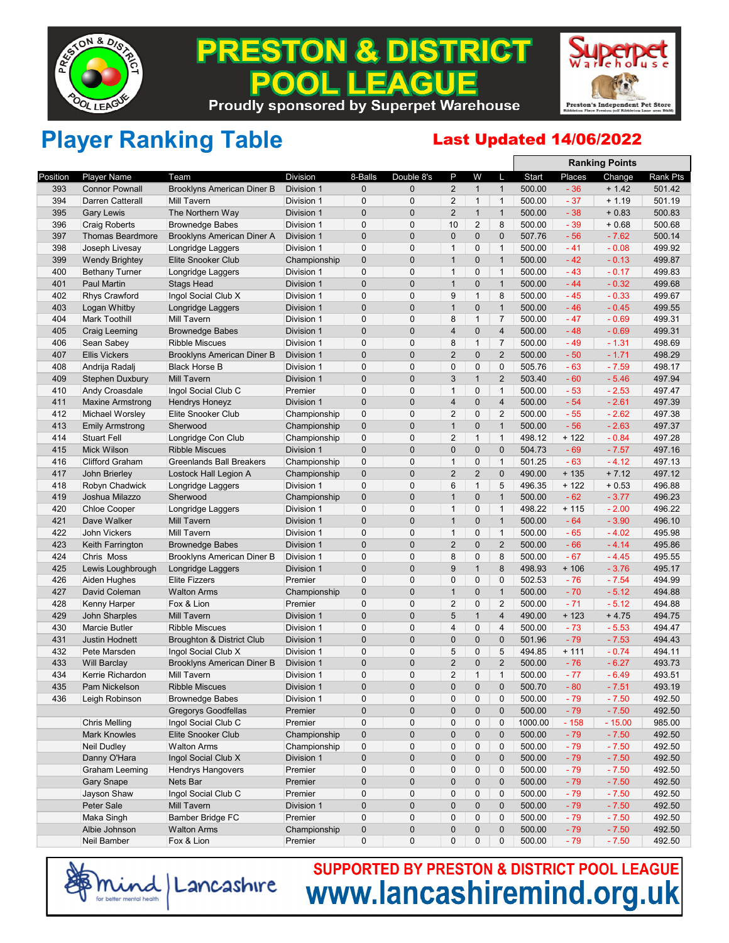

### **PRESTON & DISTRICT** EAGUE **Proudly sponsored by Superpet Warehouse**



**Ranking Points**

## Player Ranking Table **Last Updated 14/06/2022**

|          |                         |                                   |                 |              |                |                |                |                |         |         | <b>Ranking Points</b> |          |
|----------|-------------------------|-----------------------------------|-----------------|--------------|----------------|----------------|----------------|----------------|---------|---------|-----------------------|----------|
| Position | <b>Player Name</b>      | Team                              | <b>Division</b> | 8-Balls      | Double 8's     | P              | W              | L              | Start   | Places  | Change                | Rank Pts |
| 393      | <b>Connor Pownall</b>   | <b>Brooklyns American Diner B</b> | Division 1      | $\pmb{0}$    | $\overline{0}$ | $\overline{2}$ | $\mathbf{1}$   | $\mathbf{1}$   | 500.00  | $-36$   | $+ 1.42$              | 501.42   |
| 394      | Darren Catterall        | <b>Mill Tavern</b>                | Division 1      | $\mathbf 0$  | $\mathbf 0$    | $\overline{2}$ | $\mathbf{1}$   | $\mathbf{1}$   | 500.00  | $-37$   | $+1.19$               | 501.19   |
| 395      | <b>Gary Lewis</b>       | The Northern Way                  | Division 1      | $\pmb{0}$    | $\pmb{0}$      | $\overline{2}$ | $\mathbf{1}$   | $\mathbf{1}$   | 500.00  | $-38$   | $+0.83$               | 500.83   |
| 396      | <b>Craig Roberts</b>    | <b>Brownedge Babes</b>            | Division 1      | $\mathbf 0$  | 0              | 10             | $\sqrt{2}$     | 8              | 500.00  | $-39$   | $+0.68$               | 500.68   |
| 397      | <b>Thomas Beardmore</b> | Brooklyns American Diner A        | Division 1      | $\mathbf 0$  | $\mathbf 0$    | $\mathbf 0$    | $\mathbf 0$    | $\mathbf 0$    | 507.76  | $-56$   | $-7.62$               | 500.14   |
| 398      | Joseph Livesay          | Longridge Laggers                 | Division 1      | $\pmb{0}$    | 0              | $\mathbf{1}$   | $\pmb{0}$      | $\mathbf{1}$   | 500.00  | $-41$   | $-0.08$               | 499.92   |
| 399      | <b>Wendy Brightey</b>   | Elite Snooker Club                | Championship    | $\mathbf 0$  | $\mathbf{0}$   | $\mathbf{1}$   | $\mathbf 0$    | $\mathbf{1}$   | 500.00  | $-42$   | $-0.13$               | 499.87   |
| 400      | <b>Bethany Turner</b>   | Longridge Laggers                 | Division 1      | $\mathbf 0$  | $\mathbf 0$    | $\mathbf{1}$   | $\mathbf 0$    | $\mathbf{1}$   | 500.00  | $-43$   | $-0.17$               | 499.83   |
| 401      | Paul Martin             | <b>Stags Head</b>                 | Division 1      | $\pmb{0}$    | $\overline{0}$ | $\overline{1}$ | $\pmb{0}$      | $\mathbf{1}$   | 500.00  | $-44$   | $-0.32$               | 499.68   |
| 402      | <b>Rhys Crawford</b>    | Ingol Social Club X               | Division 1      | $\mathbf 0$  | 0              | 9              | $\mathbf{1}$   | 8              | 500.00  | $-45$   | $-0.33$               | 499.67   |
| 403      | Logan Whitby            | Longridge Laggers                 | Division 1      | $\mathbf 0$  | $\pmb{0}$      | $\mathbf{1}$   | $\mathbf 0$    | $\mathbf{1}$   | 500.00  | $-46$   | $-0.45$               | 499.55   |
| 404      | Mark Toothill           | <b>Mill Tavern</b>                | Division 1      | $\mathbf 0$  | 0              | 8              | $\mathbf{1}$   | $\overline{7}$ | 500.00  | $-47$   | $-0.69$               | 499.31   |
| 405      | <b>Craig Leeming</b>    | <b>Brownedge Babes</b>            | Division 1      | $\mathbf 0$  | $\mathbf{0}$   | $\overline{4}$ | $\pmb{0}$      | $\overline{4}$ | 500.00  | $-48$   | $-0.69$               | 499.31   |
| 406      | Sean Sabey              | <b>Ribble Miscues</b>             | Division 1      | $\mathbf 0$  | 0              | 8              | $\mathbf{1}$   | $\overline{7}$ | 500.00  | $-49$   | $-1.31$               | 498.69   |
| 407      | <b>Ellis Vickers</b>    | <b>Brooklyns American Diner B</b> | Division 1      | $\pmb{0}$    | $\overline{0}$ | $\overline{2}$ | $\pmb{0}$      | $\overline{2}$ | 500.00  | $-50$   | $-1.71$               | 498.29   |
| 408      | Andrija Radalj          | <b>Black Horse B</b>              | Division 1      | $\mathbf 0$  | 0              | $\mathbf 0$    | $\mathbf 0$    | $\mathbf 0$    | 505.76  | $-63$   | $-7.59$               | 498.17   |
| 409      | <b>Stephen Duxbury</b>  | <b>Mill Tavern</b>                | Division 1      | $\pmb{0}$    | $\mathbf{0}$   | 3              | $\mathbf{1}$   | $\overline{2}$ | 503.40  | $-60$   | $-5.46$               | 497.94   |
| 410      | Andy Croasdale          | Ingol Social Club C               | Premier         | $\mathbf 0$  | 0              | $\mathbf{1}$   | $\mathbf 0$    | $\mathbf{1}$   | 500.00  | $-53$   | $-2.53$               | 497.47   |
| 411      | <b>Maxine Armstrong</b> | <b>Hendrys Honeyz</b>             | Division 1      | $\pmb{0}$    | $\mathbf{0}$   | $\overline{4}$ | $\pmb{0}$      | $\overline{4}$ | 500.00  | $-54$   | $-2.61$               | 497.39   |
| 412      |                         | Elite Snooker Club                |                 | $\mathbf 0$  | 0              | $\overline{2}$ | $\pmb{0}$      | $\overline{2}$ | 500.00  | $-55$   | $-2.62$               | 497.38   |
| 413      | Michael Worsley         | Sherwood                          | Championship    | $\mathbf 0$  | $\overline{0}$ | $\mathbf{1}$   | $\mathbf 0$    | $\mathbf{1}$   | 500.00  | $-56$   |                       | 497.37   |
|          | <b>Emily Armstrong</b>  |                                   | Championship    |              |                |                |                |                |         |         | $-2.63$               |          |
| 414      | <b>Stuart Fell</b>      | Longridge Con Club                | Championship    | $\mathbf 0$  | 0              | $\overline{2}$ | $\mathbf{1}$   | $\mathbf{1}$   | 498.12  | $+122$  | $-0.84$               | 497.28   |
| 415      | <b>Mick Wilson</b>      | <b>Ribble Miscues</b>             | Division 1      | $\pmb{0}$    | $\mathbf{0}$   | $\mathbf 0$    | $\pmb{0}$      | $\mathbf 0$    | 504.73  | $-69$   | $-7.57$               | 497.16   |
| 416      | <b>Clifford Graham</b>  | <b>Greenlands Ball Breakers</b>   | Championship    | $\mathbf 0$  | $\mathbf 0$    | $\mathbf{1}$   | $\mathbf 0$    | $\mathbf{1}$   | 501.25  | $-63$   | $-4.12$               | 497.13   |
| 417      | John Brierley           | Lostock Hall Legion A             | Championship    | $\pmb{0}$    | $\mathbf 0$    | $\overline{2}$ | $\overline{2}$ | $\mathbf 0$    | 490.00  | $+135$  | $+7.12$               | 497.12   |
| 418      | Robyn Chadwick          | Longridge Laggers                 | Division 1      | $\mathbf 0$  | $\pmb{0}$      | 6              | $\mathbf{1}$   | 5              | 496.35  | $+122$  | $+0.53$               | 496.88   |
| 419      | Joshua Milazzo          | Sherwood                          | Championship    | $\mathbf 0$  | $\overline{0}$ | $\mathbf{1}$   | $\mathbf 0$    | $\mathbf{1}$   | 500.00  | $-62$   | $-3.77$               | 496.23   |
| 420      | <b>Chloe Cooper</b>     | Longridge Laggers                 | Division 1      | $\mathbf 0$  | 0              | $\overline{1}$ | $\pmb{0}$      | $\mathbf{1}$   | 498.22  | $+115$  | $-2.00$               | 496.22   |
| 421      | Dave Walker             | <b>Mill Tavern</b>                | Division 1      | $\pmb{0}$    | $\mathbf{0}$   | $\mathbf{1}$   | $\pmb{0}$      | $\mathbf{1}$   | 500.00  | $-64$   | $-3.90$               | 496.10   |
| 422      | John Vickers            | <b>Mill Tavern</b>                | Division 1      | $\mathbf 0$  | $\mathbf 0$    | $\mathbf{1}$   | $\mathbf 0$    | $\mathbf{1}$   | 500.00  | $-65$   | $-4.02$               | 495.98   |
| 423      | Keith Farrington        | <b>Brownedge Babes</b>            | Division 1      | $\pmb{0}$    | $\overline{0}$ | $\overline{2}$ | $\pmb{0}$      | $\overline{2}$ | 500.00  | $-66$   | $-4.14$               | 495.86   |
| 424      | Chris Moss              | Brooklyns American Diner B        | Division 1      | $\mathbf 0$  | $\pmb{0}$      | 8              | $\mathbf 0$    | 8              | 500.00  | $-67$   | $-4.45$               | 495.55   |
| 425      | Lewis Loughbrough       | Longridge Laggers                 | Division 1      | $\pmb{0}$    | $\overline{0}$ | 9              | $\mathbf{1}$   | 8              | 498.93  | $+106$  | $-3.76$               | 495.17   |
| 426      | Aiden Hughes            | <b>Elite Fizzers</b>              | Premier         | $\mathbf 0$  | 0              | $\mathbf 0$    | $\pmb{0}$      | $\pmb{0}$      | 502.53  | $-76$   | $-7.54$               | 494.99   |
| 427      | David Coleman           | <b>Walton Arms</b>                | Championship    | $\pmb{0}$    | $\pmb{0}$      | $\mathbf{1}$   | $\mathbf 0$    | $\mathbf{1}$   | 500.00  | $-70$   | $-5.12$               | 494.88   |
| 428      | Kenny Harper            | Fox & Lion                        | Premier         | $\mathbf 0$  | $\mathbf 0$    | $\overline{2}$ | $\mathbf 0$    | $\overline{2}$ | 500.00  | $-71$   | $-5.12$               | 494.88   |
| 429      | <b>John Sharples</b>    | <b>Mill Tavern</b>                | Division 1      | $\mathbf{0}$ | $\overline{0}$ | 5              | $\mathbf{1}$   | $\overline{4}$ | 490.00  | $+123$  | $+4.75$               | 494.75   |
| 430      | <b>Marcie Butler</b>    | <b>Ribble Miscues</b>             | Division 1      | $\mathbf 0$  | 0              | $\overline{4}$ | $\mathbf 0$    | $\overline{4}$ | 500.00  | $-73$   | $-5.53$               | 494.47   |
| 431      | <b>Justin Hodnett</b>   | Broughton & District Club         | Division 1      | $\pmb{0}$    | $\mathbf 0$    | $\mathbf 0$    | $\mathbf 0$    | $\mathbf 0$    | 501.96  | $-79$   | $-7.53$               | 494.43   |
| 432      | Pete Marsden            | Ingol Social Club X               | Division 1      | $\mathbf 0$  | 0              | 5              | $\pmb{0}$      | 5              | 494.85  | $+ 111$ | $-0.74$               | 494.11   |
| 433      | Will Barclay            | <b>Brooklyns American Diner B</b> | Division 1      | $\pmb{0}$    | $\mathbf{0}$   | $\overline{2}$ | $\pmb{0}$      | $\overline{2}$ | 500.00  | $-76$   | $-6.27$               | 493.73   |
| 434      | Kerrie Richardon        | <b>Mill Tavern</b>                | Division 1      | $\mathbf 0$  | 0              | $\overline{2}$ | $\mathbf{1}$   | $\mathbf{1}$   | 500.00  | $-77$   | $-6.49$               | 493.51   |
| 435      | Pam Nickelson           | <b>Ribble Miscues</b>             | Division 1      | $\mathbf{0}$ | $\Omega$       | $\Omega$       | $\mathbf{0}$   | $\mathbf 0$    | 500.70  | $-80$   | $-7.51$               | 493.19   |
| 436      | Leigh Robinson          | Brownedge Babes                   | Division 1      | U            | 0              | 0              | 0              | 0              | 500.00  | - 79    | $-7.50$               | 492.50   |
|          |                         | <b>Gregorys Goodfellas</b>        | Premier         | 0            | $\mathbf 0$    | $\pmb{0}$      | $\pmb{0}$      | $\mathbf 0$    | 500.00  | $-79$   | $-7.50$               | 492.50   |
|          | <b>Chris Melling</b>    | Ingol Social Club C               | Premier         | 0            | 0              | $\mathbf 0$    | $\pmb{0}$      | $\pmb{0}$      | 1000.00 | $-158$  | $-15.00$              | 985.00   |
|          | <b>Mark Knowles</b>     | Elite Snooker Club                | Championship    | $\pmb{0}$    | $\pmb{0}$      | $\pmb{0}$      | $\pmb{0}$      | $\mathbf 0$    | 500.00  | $-79$   | $-7.50$               | 492.50   |
|          | <b>Neil Dudley</b>      | <b>Walton Arms</b>                | Championship    | 0            | $\mathbf 0$    | 0              | $\pmb{0}$      | 0              | 500.00  | $-79$   | $-7.50$               | 492.50   |
|          | Danny O'Hara            | Ingol Social Club X               | Division 1      | $\mathbf 0$  | $\mathbf 0$    | $\mathbf 0$    | $\pmb{0}$      | $\mathbf 0$    | 500.00  | $-79$   | $-7.50$               | 492.50   |
|          | Graham Leeming          | <b>Hendrys Hangovers</b>          | Premier         | 0            | 0              | 0              | $\pmb{0}$      | $\mathbf 0$    | 500.00  | $-79$   | $-7.50$               | 492.50   |
|          | <b>Gary Snape</b>       | Nets Bar                          | Premier         | $\pmb{0}$    | $\mathbf 0$    | $\pmb{0}$      | $\pmb{0}$      | $\mathbf 0$    | 500.00  | $-79$   | $-7.50$               | 492.50   |
|          | Jayson Shaw             | Ingol Social Club C               | Premier         | 0            | 0              | $\mathbf 0$    | $\mathbf 0$    | $\mathbf 0$    | 500.00  | $-79$   | $-7.50$               | 492.50   |
|          | Peter Sale              | <b>Mill Tavern</b>                | Division 1      | $\pmb{0}$    | $\mathbf 0$    | $\pmb{0}$      | $\pmb{0}$      | $\mathbf 0$    | 500.00  | $-79$   | $-7.50$               | 492.50   |
|          | Maka Singh              | Bamber Bridge FC                  | Premier         | $\mathsf 0$  | $\pmb{0}$      | 0              | $\pmb{0}$      | 0              | 500.00  | $-79$   | $-7.50$               | 492.50   |
|          | Albie Johnson           | <b>Walton Arms</b>                | Championship    | 0            | $\pmb{0}$      | $\mathbf 0$    | $\pmb{0}$      | $\pmb{0}$      | 500.00  | $-79$   | $-7.50$               | 492.50   |
|          |                         |                                   |                 |              |                |                |                |                |         |         |                       |          |
|          | Neil Bamber             | Fox & Lion                        | Premier         | 0            | 0              | 0              | $\pmb{0}$      | $\mathbf 0$    | 500.00  | $-79$   | $-7.50$               | 492.50   |

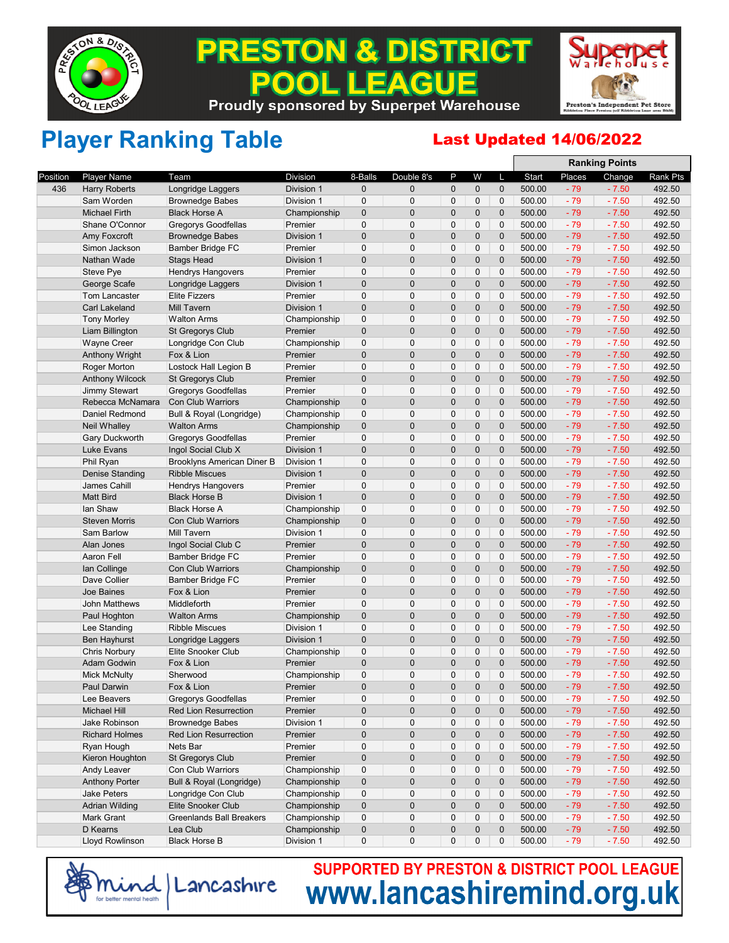

### **& DISTRICT** PRESTON **EAGUE**  $\bullet$ П **Proudly sponsored by Superpet Warehouse**



**Ranking Points**

## Player Ranking Table Last Updated 14/06/2022

|          |                               |                                   |                       |              |                |                |              |              |        |        | Ralinilly Politis |          |
|----------|-------------------------------|-----------------------------------|-----------------------|--------------|----------------|----------------|--------------|--------------|--------|--------|-------------------|----------|
| Position | Player Name                   | Team                              | <b>Division</b>       | 8-Balls      | Double 8's     | P              | W            | L            | Start  | Places | Change            | Rank Pts |
| 436      | <b>Harry Roberts</b>          | Longridge Laggers                 | Division 1            | $\mathbf 0$  | $\mathbf{0}$   | 0              | $\mathbf 0$  | $\pmb{0}$    | 500.00 | $-79$  | $-7.50$           | 492.50   |
|          | Sam Worden                    | <b>Brownedge Babes</b>            | Division 1            | $\mathbf 0$  | 0              | $\mathbf 0$    | 0            | $\mathbf 0$  | 500.00 | $-79$  | $-7.50$           | 492.50   |
|          | <b>Michael Firth</b>          | <b>Black Horse A</b>              | Championship          | $\mathbf 0$  | $\overline{0}$ | $\mathbf 0$    | $\mathbf 0$  | $\pmb{0}$    | 500.00 | $-79$  | $-7.50$           | 492.50   |
|          | Shane O'Connor                | <b>Gregorys Goodfellas</b>        | Premier               | $\mathbf 0$  | $\mathbf 0$    | 0              | 0            | 0            | 500.00 | $-79$  | $-7.50$           | 492.50   |
|          | Amy Foxcroft                  | <b>Brownedge Babes</b>            | Division 1            | $\pmb{0}$    | $\mathbf 0$    | $\mathbf 0$    | $\mathbf 0$  | $\mathbf 0$  | 500.00 | $-79$  | $-7.50$           | 492.50   |
|          | Simon Jackson                 | Bamber Bridge FC                  | Premier               | $\mathbf 0$  | $\mathbf 0$    | $\mathbf 0$    | $\pmb{0}$    | $\mathbf 0$  | 500.00 | $-79$  | $-7.50$           | 492.50   |
|          | Nathan Wade                   | <b>Stags Head</b>                 | Division 1            | $\mathbf 0$  | $\overline{0}$ | $\mathbf 0$    | $\mathbf 0$  | $\mathbf 0$  | 500.00 | $-79$  | $-7.50$           | 492.50   |
|          | Steve Pye                     | <b>Hendrys Hangovers</b>          | Premier               | $\mathbf 0$  | $\mathbf 0$    | 0              | 0            | $\mathbf 0$  | 500.00 | $-79$  | $-7.50$           | 492.50   |
|          | George Scafe                  | Longridge Laggers                 | Division 1            | $\pmb{0}$    | $\overline{0}$ | $\mathbf 0$    | $\mathbf 0$  | $\pmb{0}$    | 500.00 | $-79$  | $-7.50$           | 492.50   |
|          | <b>Tom Lancaster</b>          | <b>Elite Fizzers</b>              | Premier               | $\mathbf 0$  | $\mathbf 0$    | $\mathbf 0$    | 0            | $\pmb{0}$    | 500.00 | $-79$  | $-7.50$           | 492.50   |
|          | <b>Carl Lakeland</b>          | <b>Mill Tavern</b>                | Division 1            | $\pmb{0}$    | $\overline{0}$ | $\mathbf 0$    | $\mathbf 0$  | $\mathbf 0$  | 500.00 | $-79$  | $-7.50$           | 492.50   |
|          | <b>Tony Morley</b>            | <b>Walton Arms</b>                | Championship          | $\mathbf 0$  | 0              | $\mathbf 0$    | $\mathbf 0$  | $\mathbf 0$  | 500.00 | $-79$  | $-7.50$           | 492.50   |
|          | Liam Billington               | <b>St Gregorys Club</b>           | Premier               | $\pmb{0}$    | $\overline{0}$ | $\mathbf 0$    | $\mathbf 0$  | $\mathbf 0$  | 500.00 | $-79$  | $-7.50$           | 492.50   |
|          | <b>Wayne Creer</b>            | Longridge Con Club                | Championship          | 0            | 0              | 0              | 0            | 0            | 500.00 | $-79$  | $-7.50$           | 492.50   |
|          | <b>Anthony Wright</b>         | Fox & Lion                        | Premier               | $\mathbf 0$  | $\mathbf{0}$   | $\mathbf 0$    | $\mathbf 0$  | $\mathbf{0}$ | 500.00 | $-79$  | $-7.50$           | 492.50   |
|          | Roger Morton                  | Lostock Hall Legion B             | Premier               | $\mathbf 0$  | 0              | $\mathbf 0$    | $\mathbf 0$  | $\pmb{0}$    | 500.00 | $-79$  | $-7.50$           | 492.50   |
|          | <b>Anthony Wilcock</b>        | <b>St Gregorys Club</b>           | Premier               | $\pmb{0}$    | $\overline{0}$ | $\mathbf 0$    | $\mathbf 0$  | $\pmb{0}$    | 500.00 | $-79$  | $-7.50$           | 492.50   |
|          | <b>Jimmy Stewart</b>          | Gregorys Goodfellas               | Premier               | $\mathbf 0$  | 0              | $\mathbf 0$    | $\mathbf 0$  | $\mathbf 0$  | 500.00 | $-79$  | $-7.50$           | 492.50   |
|          | Rebecca McNamara              | <b>Con Club Warriors</b>          | Championship          | $\mathbf 0$  | $\mathbf{0}$   | $\mathbf 0$    | $\mathbf 0$  | $\mathbf 0$  | 500.00 | $-79$  | $-7.50$           | 492.50   |
|          | Daniel Redmond                | Bull & Royal (Longridge)          | Championship          | 0            | 0              | 0              | 0            | 0            | 500.00 | $-79$  | $-7.50$           | 492.50   |
|          | <b>Neil Whalley</b>           | <b>Walton Arms</b>                | Championship          | $\mathbf 0$  | $\mathbf{0}$   | $\mathbf 0$    | $\mathbf 0$  | $\pmb{0}$    | 500.00 | $-79$  | $-7.50$           | 492.50   |
|          | Gary Duckworth                | Gregorys Goodfellas               | Premier               | $\mathbf 0$  | 0              | $\mathbf 0$    | $\mathbf 0$  | $\mathbf 0$  | 500.00 | $-79$  | $-7.50$           | 492.50   |
|          | Luke Evans                    | Ingol Social Club X               | Division 1            | $\pmb{0}$    | $\mathbf{0}$   | $\mathbf 0$    | $\mathbf 0$  | $\pmb{0}$    | 500.00 | $-79$  | $-7.50$           | 492.50   |
|          | Phil Ryan                     | <b>Brooklyns American Diner B</b> | Division 1            | $\mathbf 0$  | 0              | $\mathbf 0$    | $\mathbf 0$  | $\mathbf 0$  | 500.00 | $-79$  | $-7.50$           | 492.50   |
|          | Denise Standing               | <b>Ribble Miscues</b>             | Division 1            | $\pmb{0}$    | $\overline{0}$ | $\mathbf 0$    | $\mathbf 0$  | $\pmb{0}$    | 500.00 | $-79$  | $-7.50$           | 492.50   |
|          | James Cahill                  | <b>Hendrys Hangovers</b>          | Premier               | $\mathbf 0$  | $\mathbf{0}$   | 0              | 0            | 0            | 500.00 | $-79$  | $-7.50$           | 492.50   |
|          | <b>Matt Bird</b>              | <b>Black Horse B</b>              | Division 1            | $\mathbf 0$  | $\overline{0}$ | $\mathbf 0$    | $\mathbf 0$  | $\pmb{0}$    | 500.00 | $-79$  | $-7.50$           | 492.50   |
|          | lan Shaw                      | <b>Black Horse A</b>              | Championship          | $\mathbf 0$  | $\Omega$       | $\overline{0}$ | 0            | $\pmb{0}$    | 500.00 | $-79$  | $-7.50$           | 492.50   |
|          | <b>Steven Morris</b>          | <b>Con Club Warriors</b>          | Championship          | $\pmb{0}$    | $\mathbf{0}$   | $\mathbf 0$    | $\mathbf 0$  | $\pmb{0}$    | 500.00 | $-79$  | $-7.50$           | 492.50   |
|          | Sam Barlow                    | Mill Tavern                       | Division 1            | $\mathbf 0$  | 0              | $\mathbf 0$    | $\mathbf 0$  | 0            | 500.00 | $-79$  | $-7.50$           | 492.50   |
|          | Alan Jones                    | Ingol Social Club C               | Premier               | $\pmb{0}$    | $\overline{0}$ | $\mathbf 0$    | $\mathbf 0$  | $\mathbf 0$  | 500.00 | $-79$  | $-7.50$           | 492.50   |
|          | Aaron Fell                    | Bamber Bridge FC                  | Premier               | $\mathbf 0$  | 0              | 0              | 0            | $\pmb{0}$    | 500.00 | $-79$  | $-7.50$           | 492.50   |
|          | lan Collinge                  | Con Club Warriors                 | Championship          | $\mathbf 0$  | $\overline{0}$ | $\overline{0}$ | $\mathbf 0$  | $\mathbf 0$  | 500.00 | $-79$  | $-7.50$           | 492.50   |
|          | Dave Collier                  | <b>Bamber Bridge FC</b>           | Premier               | $\mathbf 0$  | $\Omega$       | $\overline{0}$ | $\pmb{0}$    | $\pmb{0}$    | 500.00 | $-79$  | $-7.50$           | 492.50   |
|          | Joe Baines                    | Fox & Lion                        | Premier               | $\pmb{0}$    | $\overline{0}$ | $\mathbf 0$    | $\mathbf 0$  | $\pmb{0}$    | 500.00 | $-79$  | $-7.50$           | 492.50   |
|          | <b>John Matthews</b>          | Middleforth                       | Premier               | $\mathbf 0$  | 0              | $\mathbf 0$    | $\mathbf 0$  | 0            | 500.00 | $-79$  | $-7.50$           | 492.50   |
|          | Paul Hoghton                  | <b>Walton Arms</b>                | Championship          | $\mathbf 0$  | $\mathbf{0}$   | $\mathbf 0$    | $\mathbf 0$  | $\mathbf{0}$ | 500.00 | $-79$  | $-7.50$           | 492.50   |
|          | Lee Standing                  | <b>Ribble Miscues</b>             | Division 1            | 0            | 0              | 0              | 0            | $\pmb{0}$    | 500.00 | $-79$  | $-7.50$           | 492.50   |
|          | <b>Ben Hayhurst</b>           | Longridge Laggers                 | Division 1            | $\pmb{0}$    | $\overline{0}$ | $\mathbf 0$    | $\mathbf 0$  | $\mathbf 0$  | 500.00 | $-79$  | $-7.50$           | 492.50   |
|          | <b>Chris Norbury</b>          | Elite Snooker Club                | Championship          | $\mathbf 0$  | 0              | $\mathbf 0$    | $\mathbf 0$  | $\mathbf 0$  | 500.00 | $-79$  | $-7.50$           | 492.50   |
|          | <b>Adam Godwin</b>            | Fox & Lion                        | Premier               | $\pmb{0}$    | $\mathbf 0$    | $\mathbf 0$    | $\mathbf 0$  | $\pmb{0}$    | 500.00 | $-79$  | $-7.50$           | 492.50   |
|          | <b>Mick McNulty</b>           | Sherwood                          | Championship          | $\mathbf 0$  | 0              | $\mathbf 0$    | $\mathbf 0$  | 0            | 500.00 | $-79$  | $-7.50$           | 492.50   |
|          | Paul Darwin                   | Fox & Lion                        | Premier               | $\mathbf{0}$ | $\Omega$       | $\overline{0}$ | $\mathbf{0}$ | $\mathbf{0}$ | 500.00 | $-79$  | $-7.50$           | 492.50   |
|          | Lee Beavers                   | <b>Gregorys Goodfellas</b>        | Premier               | 0            | 0              | 0              | 0            | $\pmb{0}$    | 500.00 | $-79$  | $-7.50$           | 492.50   |
|          |                               | <b>Red Lion Resurrection</b>      |                       | $\mathbf 0$  | 0              | $\pmb{0}$      | $\mathbf 0$  | $\pmb{0}$    | 500.00 | $-79$  | $-7.50$           | 492.50   |
|          | Michael Hill<br>Jake Robinson | <b>Brownedge Babes</b>            | Premier<br>Division 1 | 0            | 0              | 0              | 0            | 0            | 500.00 | $-79$  | $-7.50$           | 492.50   |
|          |                               | <b>Red Lion Resurrection</b>      |                       | $\mathbf 0$  | 0              |                |              | $\pmb{0}$    |        |        |                   |          |
|          | <b>Richard Holmes</b>         |                                   | Premier               |              |                | 0              | $\mathbf 0$  |              | 500.00 | $-79$  | $-7.50$           | 492.50   |
|          | Ryan Hough                    | Nets Bar                          | Premier               | 0            | 0              | 0              | 0            | 0            | 500.00 | $-79$  | $-7.50$           | 492.50   |
|          | Kieron Houghton               | St Gregorys Club                  | Premier               | $\pmb{0}$    | 0              | 0              | 0            | $\mathbf 0$  | 500.00 | $-79$  | $-7.50$           | 492.50   |
|          | Andy Leaver                   | Con Club Warriors                 | Championship          | 0            | 0              | 0              | 0            | 0            | 500.00 | $-79$  | $-7.50$           | 492.50   |
|          | <b>Anthony Porter</b>         | Bull & Royal (Longridge)          | Championship          | 0            | $\mathbf 0$    | 0              | $\mathbf 0$  | $\mathbf 0$  | 500.00 | $-79$  | $-7.50$           | 492.50   |
|          | <b>Jake Peters</b>            | Longridge Con Club                | Championship          | $\mathbf 0$  | 0              | 0              | 0            | 0            | 500.00 | $-79$  | $-7.50$           | 492.50   |
|          | <b>Adrian Wilding</b>         | Elite Snooker Club                | Championship          | $\mathbf 0$  | 0              | 0              | $\mathbf 0$  | $\mathbf 0$  | 500.00 | $-79$  | $-7.50$           | 492.50   |
|          | Mark Grant                    | <b>Greenlands Ball Breakers</b>   | Championship          | 0            | 0              | 0              | 0            | 0            | 500.00 | $-79$  | $-7.50$           | 492.50   |
|          | D Kearns                      | Lea Club                          | Championship          | $\pmb{0}$    | 0              | 0              | $\mathbf 0$  | $\mathbf 0$  | 500.00 | $-79$  | $-7.50$           | 492.50   |
|          | Lloyd Rowlinson               | <b>Black Horse B</b>              | Division 1            | 0            | 0              | 0              | 0            | 0            | 500.00 | $-79$  | $-7.50$           | 492.50   |